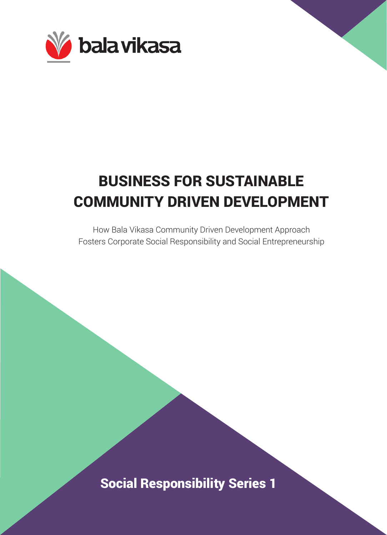

# BUSINESS FOR SUSTAINABLE COMMUNITY DRIVEN DEVELOPMENT

How Bala Vikasa Community Driven Development Approach Fosters Corporate Social Responsibility and Social Entrepreneurship

Social Responsibility Series 1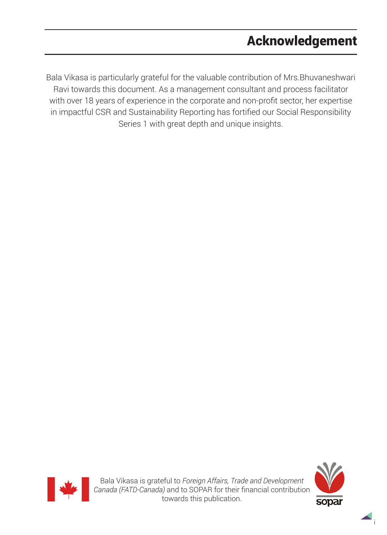# Acknowledgement

Bala Vikasa is particularly grateful for the valuable contribution of Mrs.Bhuvaneshwari Ravi towards this document. As a management consultant and process facilitator with over 18 years of experience in the corporate and non-profit sector, her expertise in impactful CSR and Sustainability Reporting has fortified our Social Responsibility Series 1 with great depth and unique insights.





i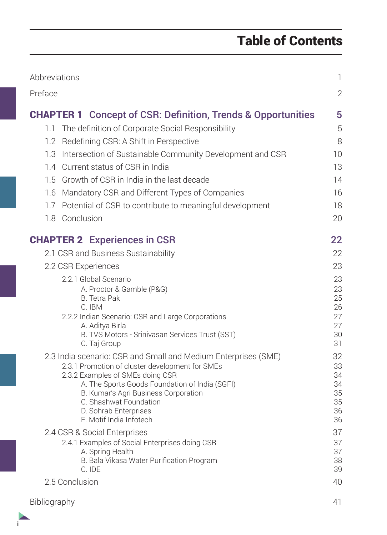# Table of Contents

| Abbreviations                                                                      | $\mathbb{1}$ |
|------------------------------------------------------------------------------------|--------------|
| Preface                                                                            | $\mathbf{2}$ |
| <b>CHAPTER 1</b> Concept of CSR: Definition, Trends & Opportunities                | 5            |
| 1.1 The definition of Corporate Social Responsibility                              | 5            |
| Redefining CSR: A Shift in Perspective<br>1.2                                      | 8            |
| 1.3 Intersection of Sustainable Community Development and CSR                      | 10           |
| 1.4 Current status of CSR in India                                                 | 13           |
| 1.5 Growth of CSR in India in the last decade                                      | 14           |
| 1.6 Mandatory CSR and Different Types of Companies                                 | 16           |
| 1.7 Potential of CSR to contribute to meaningful development                       | 18           |
| 1.8 Conclusion                                                                     | 20           |
| <b>CHAPTER 2</b> Experiences in CSR                                                | 22           |
| 2.1 CSR and Business Sustainability                                                | 22           |
| 2.2 CSR Experiences                                                                | 23           |
| 2.2.1 Global Scenario                                                              | 23           |
| A. Proctor & Gamble (P&G)                                                          | 23           |
| <b>B.</b> Tetra Pak<br>C. IBM                                                      | 25<br>26     |
| 2.2.2 Indian Scenario: CSR and Large Corporations                                  | 27           |
| A. Aditya Birla                                                                    | 27           |
| B. TVS Motors - Srinivasan Services Trust (SST)<br>C. Taj Group                    | 30<br>31     |
| 2.3 India scenario: CSR and Small and Medium Enterprises (SME)                     | 32           |
| 2.3.1 Promotion of cluster development for SMEs                                    | 33           |
| 2.3.2 Examples of SMEs doing CSR<br>A. The Sports Goods Foundation of India (SGFI) | 34<br>34     |
| B. Kumar's Agri Business Corporation                                               | 35           |
| C. Shashwat Foundation                                                             | 35           |
| D. Sohrab Enterprises<br>E. Motif India Infotech                                   | 36<br>36     |
| 2.4 CSR & Social Enterprises                                                       | 37           |
| 2.4.1 Examples of Social Enterprises doing CSR                                     | 37           |
| A. Spring Health                                                                   | 37           |
| B. Bala Vikasa Water Purification Program<br>C. IDE                                | 38<br>39     |
| 2.5 Conclusion                                                                     | 40           |
| Bibliography                                                                       | 41           |

ii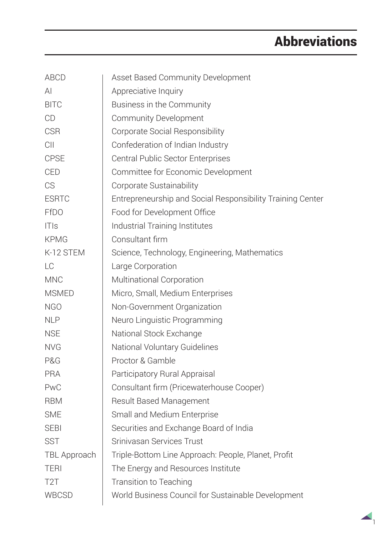# Abbreviations

| ABCD             | Asset Based Community Development                          |  |  |
|------------------|------------------------------------------------------------|--|--|
| ΑI               | Appreciative Inquiry                                       |  |  |
| <b>BITC</b>      | Business in the Community                                  |  |  |
| CD               | Community Development                                      |  |  |
| <b>CSR</b>       | Corporate Social Responsibility                            |  |  |
| C <sub>II</sub>  | Confederation of Indian Industry                           |  |  |
| <b>CPSE</b>      | Central Public Sector Enterprises                          |  |  |
| <b>CED</b>       | Committee for Economic Development                         |  |  |
| <b>CS</b>        | Corporate Sustainability                                   |  |  |
| <b>ESRTC</b>     | Entrepreneurship and Social Responsibility Training Center |  |  |
| <b>FfDO</b>      | Food for Development Office                                |  |  |
| T S              | Industrial Training Institutes                             |  |  |
| <b>KPMG</b>      | Consultant firm                                            |  |  |
| K-12 STEM        | Science, Technology, Engineering, Mathematics              |  |  |
| LC               | Large Corporation                                          |  |  |
| <b>MNC</b>       | Multinational Corporation                                  |  |  |
| <b>MSMED</b>     | Micro, Small, Medium Enterprises                           |  |  |
| NGO              | Non-Government Organization                                |  |  |
| <b>NLP</b>       | Neuro Linguistic Programming                               |  |  |
| <b>NSE</b>       | National Stock Exchange                                    |  |  |
| <b>NVG</b>       | National Voluntary Guidelines                              |  |  |
| P&G              | Proctor & Gamble                                           |  |  |
| PRA              | Participatory Rural Appraisal                              |  |  |
| <b>PwC</b>       | Consultant firm (Pricewaterhouse Cooper)                   |  |  |
| <b>RBM</b>       | Result Based Management                                    |  |  |
| <b>SME</b>       | Small and Medium Enterprise                                |  |  |
| <b>SEBI</b>      | Securities and Exchange Board of India                     |  |  |
| SST              | Srinivasan Services Trust                                  |  |  |
| TBL Approach     | Triple-Bottom Line Approach: People, Planet, Profit        |  |  |
| <b>TERI</b>      | The Energy and Resources Institute                         |  |  |
| T <sub>2</sub> T | Transition to Teaching                                     |  |  |
| WBCSD            | World Business Council for Sustainable Development         |  |  |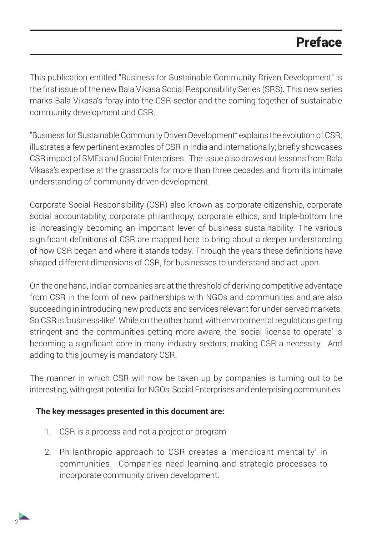# Preface

This publication entitled "Business for Sustainable Community Driven Development" is the first issue of the new Bala Vikasa Social Responsibility Series (SRS). This new series marks Bala Vikasa's foray into the CSR sector and the coming together of sustainable community development and CSR.

"Business for Sustainable Community Driven Development" explains the evolution of CSR; illustrates a few pertinent examples of CSR in India and internationally; briefly showcases CSR impact of SMEs and Social Enterprises. The issue also draws out lessons from Bala Vikasa's expertise at the grassroots for more than three decades and from its intimate understanding of community driven development.

Corporate Social Responsibility (CSR) also known as corporate citizenship, corporate social accountability, corporate philanthropy, corporate ethics, and triple-bottom line is increasingly becoming an important lever of business sustainability. The various significant definitions of CSR are mapped here to bring about a deeper understanding of how CSR began and where it stands today. Through the years these definitions have shaped different dimensions of CSR, for businesses to understand and act upon.

On the one hand, Indian companies are at the threshold of deriving competitive advantage from CSR in the form of new partnerships with NGOs and communities and are also succeeding in introducing new products and services relevant for under-served markets. So CSR is 'business-like'. While on the other hand, with environmental regulations getting stringent and the communities getting more aware, the 'social license to operate' is becoming a significant core in many industry sectors, making CSR a necessity. And adding to this journey is mandatory CSR.

The manner in which CSR will now be taken up by companies is turning out to be interesting, with great potential for NGOs, Social Enterprises and enterprising communities.

#### **The key messages presented in this document are:**

2

- 1. CSR is a process and not a project or program.
- 2. Philanthropic approach to CSR creates a 'mendicant mentality' in communities. Companies need learning and strategic processes to incorporate community driven development.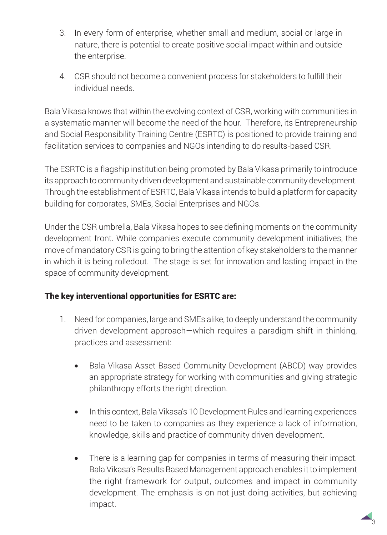- 3. In every form of enterprise, whether small and medium, social or large in nature, there is potential to create positive social impact within and outside the enterprise.
- 4. CSR should not become a convenient process for stakeholders to fulfill their individual needs.

Bala Vikasa knows that within the evolving context of CSR, working with communities in a systematic manner will become the need of the hour. Therefore, its Entrepreneurship and Social Responsibility Training Centre (ESRTC) is positioned to provide training and facilitation services to companies and NGOs intending to do results-based CSR.

The ESRTC is a flagship institution being promoted by Bala Vikasa primarily to introduce its approach to community driven development and sustainable community development. Through the establishment of ESRTC, Bala Vikasa intends to build a platform for capacity building for corporates, SMEs, Social Enterprises and NGOs.

Under the CSR umbrella, Bala Vikasa hopes to see defining moments on the community development front. While companies execute community development initiatives, the move of mandatory CSR is going to bring the attention of key stakeholders to the manner in which it is being rolledout. The stage is set for innovation and lasting impact in the space of community development.

### The key interventional opportunities for ESRTC are:

- 1. Need for companies, large and SMEs alike, to deeply understand the community driven development approach—which requires a paradigm shift in thinking, practices and assessment:
	- Bala Vikasa Asset Based Community Development (ABCD) way provides an appropriate strategy for working with communities and giving strategic philanthropy efforts the right direction.
	- In this context, Bala Vikasa's 10 Development Rules and learning experiences need to be taken to companies as they experience a lack of information, knowledge, skills and practice of community driven development.
	- There is a learning gap for companies in terms of measuring their impact. Bala Vikasa's Results Based Management approach enables it to implement the right framework for output, outcomes and impact in community development. The emphasis is on not just doing activities, but achieving impact.

3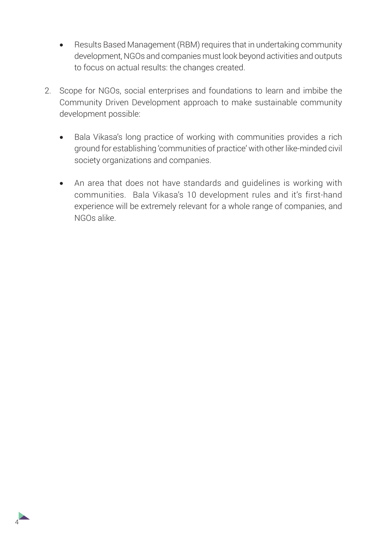- • Results Based Management (RBM) requires that in undertaking community development, NGOs and companies must look beyond activities and outputs to focus on actual results: the changes created.
- 2. Scope for NGOs, social enterprises and foundations to learn and imbibe the Community Driven Development approach to make sustainable community development possible:
	- Bala Vikasa's long practice of working with communities provides a rich ground for establishing 'communities of practice' with other like-minded civil society organizations and companies.
	- An area that does not have standards and quidelines is working with communities. Bala Vikasa's 10 development rules and it's first-hand experience will be extremely relevant for a whole range of companies, and NGOs alike.

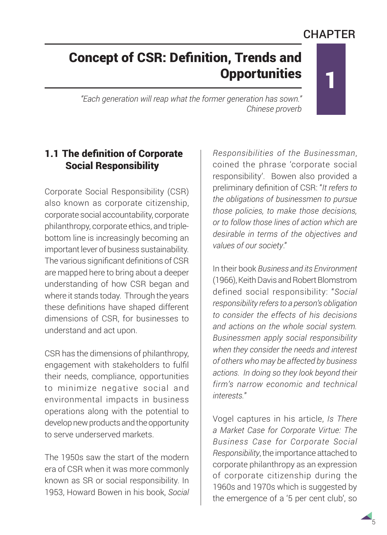## **CHAPTER**

1

# Concept of CSR: Definition, Trends and **Opportunities**

*"Each generation will reap what the former generation has sown." Chinese proverb*

## 1.1 The definition of Corporate Social Responsibility

Corporate Social Responsibility (CSR) also known as corporate citizenship, corporate social accountability, corporate philanthropy, corporate ethics, and triplebottom line is increasingly becoming an important lever of business sustainability. The various significant definitions of CSR are mapped here to bring about a deeper understanding of how CSR began and where it stands today. Through the years these definitions have shaped different dimensions of CSR, for businesses to understand and act upon.

CSR has the dimensions of philanthropy, engagement with stakeholders to fulfil their needs, compliance, opportunities to minimize negative social and environmental impacts in business operations along with the potential to develop new products and the opportunity to serve underserved markets.

The 1950s saw the start of the modern era of CSR when it was more commonly known as SR or social responsibility. In 1953, Howard Bowen in his book, *Social*  *Responsibilities of the Businessman*, coined the phrase 'corporate social responsibility'. Bowen also provided a preliminary definition of CSR: "*It refers to the obligations of businessmen to pursue those policies, to make those decisions, or to follow those lines of action which are desirable in terms of the objectives and values of our society*."

In their book *Business and its Environment* (1966), Keith Davis and Robert Blomstrom defined social responsibility: "*Social responsibility refers to a person's obligation to consider the effects of his decisions and actions on the whole social system. Businessmen apply social responsibility when they consider the needs and interest of others who may be affected by business actions. In doing so they look beyond their firm's narrow economic and technical interests.*"

Vogel captures in his article, *Is There a Market Case for Corporate Virtue: The Business Case for Corporate Social Responsibility*, the importance attached to corporate philanthropy as an expression of corporate citizenship during the 1960s and 1970s which is suggested by the emergence of a '5 per cent club', so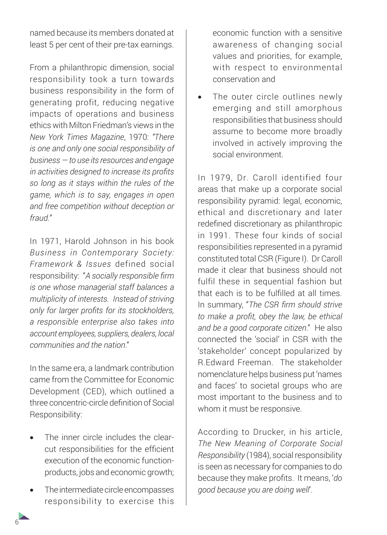named because its members donated at least 5 per cent of their pre-tax earnings.

From a philanthropic dimension, social responsibility took a turn towards business responsibility in the form of generating profit, reducing negative impacts of operations and business ethics with Milton Friedman's views in the *New York Times Magazine*, 1970: *"There is one and only one social responsibility of business — to use its resources and engage in activities designed to increase its profits so long as it stays within the rules of the game, which is to say, engages in open and free competition without deception or fraud."*

In 1971, Harold Johnson in his book *Business in Contemporary Society: Framework & Issues* defined social responsibility: "*A socially responsible firm is one whose managerial staff balances a multiplicity of interests. Instead of striving only for larger profits for its stockholders, a responsible enterprise also takes into account employees, suppliers, dealers, local communities and the nation*."

In the same era, a landmark contribution came from the Committee for Economic Development (CED), which outlined a three concentric-circle definition of Social Responsibility:

- The inner circle includes the clearcut responsibilities for the efficient execution of the economic functionproducts, jobs and economic growth;
- The intermediate circle encompasses responsibility to exercise this

economic function with a sensitive awareness of changing social values and priorities, for example, with respect to environmental conservation and

The outer circle outlines newly emerging and still amorphous responsibilities that business should assume to become more broadly involved in actively improving the social environment.

In 1979, Dr. Caroll identified four areas that make up a corporate social responsibility pyramid: legal, economic, ethical and discretionary and later redefined discretionary as philanthropic in 1991. These four kinds of social responsibilities represented in a pyramid constituted total CSR (Figure I). Dr Caroll made it clear that business should not fulfil these in sequential fashion but that each is to be fulfilled at all times. In summary, "*The CSR firm should strive to make a profit, obey the law, be ethical and be a good corporate citizen*." He also connected the 'social' in CSR with the 'stakeholder' concept popularized by R.Edward Freeman. The stakeholder nomenclature helps business put 'names and faces' to societal groups who are most important to the business and to whom it must be responsive.

According to Drucker, in his article, *The New Meaning of Corporate Social Responsibility* (1984), social responsibility is seen as necessary for companies to do because they make profits. It means, '*do good because you are doing well*'.

6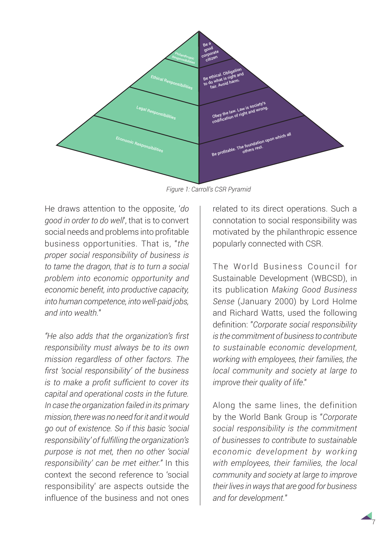

*Figure 1: Carroll's CSR Pyramid*

He draws attention to the opposite, '*do good in order to do well*', that is to convert social needs and problems into profitable business opportunities. That is, "*the proper social responsibility of business is to tame the dragon, that is to turn a social problem into economic opportunity and economic benefit, into productive capacity, into human competence, into well-paid jobs, and into wealth.*"

*"He also adds that the organization's first responsibility must always be to its own mission regardless of other factors. The first 'social responsibility' of the business is to make a profit sufficient to cover its capital and operational costs in the future. In case the organization failed in its primary mission, there was no need for it and it would go out of existence. So if this basic 'social responsibility' of fulfilling the organization's purpose is not met, then no other 'social responsibility' can be met either."* In this context the second reference to 'social responsibility' are aspects outside the influence of the business and not ones

related to its direct operations. Such a connotation to social responsibility was motivated by the philanthropic essence popularly connected with CSR.

The World Business Council for Sustainable Development (WBCSD), in its publication *Making Good Business Sense* (January 2000) by Lord Holme and Richard Watts, used the following definition: "*Corporate social responsibility is the commitment of business to contribute to sustainable economic development, working with employees, their families, the local community and society at large to improve their quality of life*."

Along the same lines, the definition by the World Bank Group is "*Corporate social responsibility is the commitment of businesses to contribute to sustainable economic development by working with employees, their families, the local community and society at large to improve their lives in ways that are good for business and for development.*"

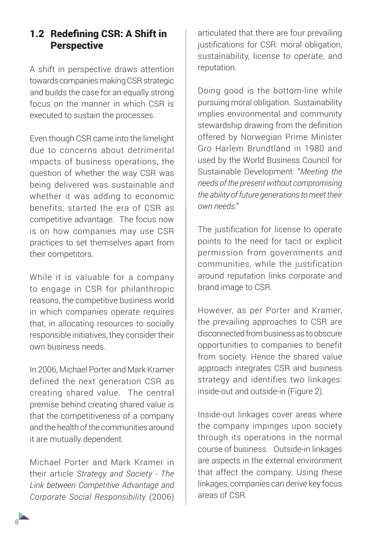## 1.2 Redefining CSR: A Shift in **Perspective**

A shift in perspective draws attention towards companies making CSR strategic and builds the case for an equally strong focus on the manner in which CSR is executed to sustain the processes.

Even though CSR came into the limelight due to concerns about detrimental impacts of business operations, the question of whether the way CSR was being delivered was sustainable and whether it was adding to economic benefits, started the era of CSR as competitive advantage. The focus now is on how companies may use CSR practices to set themselves apart from their competitors.

While it is valuable for a company to engage in CSR for philanthropic reasons, the competitive business world in which companies operate requires that, in allocating resources to socially responsible initiatives, they consider their own business needs.

In 2006, Michael Porter and Mark Kramer defined the next generation CSR as creating shared value. The central premise behind creating shared value is that the competitiveness of a company and the health of the communities around it are mutually dependent.

Michael Porter and Mark Kramer in their article *Strategy and Society - The Link between Competitive Advantage and Corporate Social Responsibility* (2006)

articulated that there are four prevailing justifications for CSR: moral obligation, sustainability, license to operate, and reputation.

Doing good is the bottom-line while pursuing moral obligation. Sustainability implies environmental and community stewardship drawing from the definition offered by Norwegian Prime Minister Gro Harlem Brundtland in 1980 and used by the World Business Council for Sustainable Development: "*Meeting the needs of the present without compromising the ability of future generations to meet their own needs*."

The justification for license to operate points to the need for tacit or explicit permission from governments and communities, while the justification around reputation links corporate and brand image to CSR.

However, as per Porter and Kramer, the prevailing approaches to CSR are disconnected from business as to obscure opportunities to companies to benefit from society. Hence the shared value approach integrates CSR and business strategy and identifies two linkages: inside-out and outside-in (Figure 2).

Inside-out linkages cover areas where the company impinges upon society through its operations in the normal course of business. Outside-in linkages are aspects in the external environment that affect the company. Using these linkages, companies can derive key focus areas of CSR.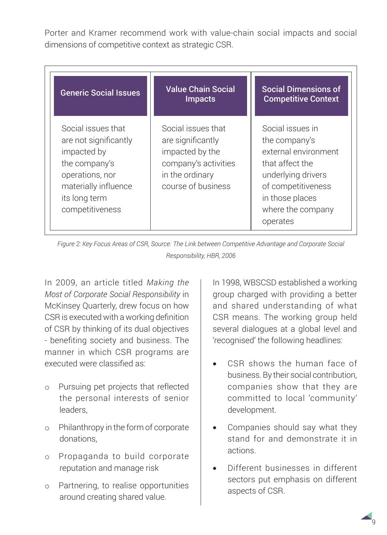Porter and Kramer recommend work with value-chain social impacts and social dimensions of competitive context as strategic CSR.

| <b>Generic Social Issues</b>                                                                                                                               | <b>Value Chain Social</b><br>Impacts                                                                                        | <b>Social Dimensions of</b><br><b>Competitive Context</b>                                                                                                                    |
|------------------------------------------------------------------------------------------------------------------------------------------------------------|-----------------------------------------------------------------------------------------------------------------------------|------------------------------------------------------------------------------------------------------------------------------------------------------------------------------|
| Social issues that<br>are not significantly<br>impacted by<br>the company's<br>operations, nor<br>materially influence<br>its long term<br>competitiveness | Social issues that<br>are significantly<br>impacted by the<br>company's activities<br>in the ordinary<br>course of business | Social issues in<br>the company's<br>external environment<br>that affect the<br>underlying drivers<br>of competitiveness<br>in those places<br>where the company<br>operates |

*Figure 2: Key Focus Areas of CSR, Source: The Link between Competitive Advantage and Corporate Social Responsibility, HBR, 2006*

In 2009, an article titled *Making the Most of Corporate Social Responsibility* in McKinsey Quarterly, drew focus on how CSR is executed with a working definition of CSR by thinking of its dual objectives - benefiting society and business. The manner in which CSR programs are executed were classified as:

- o Pursuing pet projects that reflected the personal interests of senior leaders,
- o Philanthropy in the form of corporate donations,
- o Propaganda to build corporate reputation and manage risk
- o Partnering, to realise opportunities around creating shared value.

In 1998, WBSCSD established a working group charged with providing a better and shared understanding of what CSR means. The working group held several dialogues at a global level and 'recognised' the following headlines:

- CSR shows the human face of business. By their social contribution, companies show that they are committed to local 'community' development.
- Companies should say what they stand for and demonstrate it in actions.
- Different businesses in different sectors put emphasis on different aspects of CSR.

9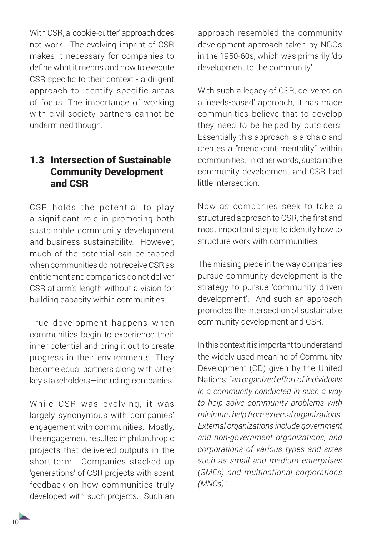With CSR, a 'cookie-cutter' approach does not work. The evolving imprint of CSR makes it necessary for companies to define what it means and how to execute CSR specific to their context - a diligent approach to identify specific areas of focus. The importance of working with civil society partners cannot be undermined though.

## 1.3 Intersection of Sustainable Community Development and CSR

CSR holds the potential to play a significant role in promoting both sustainable community development and business sustainability. However, much of the potential can be tapped when communities do not receive CSR as entitlement and companies do not deliver CSR at arm's length without a vision for building capacity within communities.

True development happens when communities begin to experience their inner potential and bring it out to create progress in their environments. They become equal partners along with other key stakeholders—including companies.

While CSR was evolving, it was largely synonymous with companies' engagement with communities. Mostly, the engagement resulted in philanthropic projects that delivered outputs in the short-term. Companies stacked up 'generations' of CSR projects with scant feedback on how communities truly developed with such projects. Such an

approach resembled the community development approach taken by NGOs in the 1950-60s, which was primarily 'do development to the community'.

With such a legacy of CSR, delivered on a 'needs-based' approach, it has made communities believe that to develop they need to be helped by outsiders. Essentially this approach is archaic and creates a "mendicant mentality" within communities. In other words, sustainable community development and CSR had little intersection.

Now as companies seek to take a structured approach to CSR, the first and most important step is to identify how to structure work with communities.

The missing piece in the way companies pursue community development is the strategy to pursue 'community driven development'. And such an approach promotes the intersection of sustainable community development and CSR.

In this context it is important to understand the widely used meaning of Community Development (CD) given by the United Nations: "*an organized effort of individuals in a community conducted in such a way to help solve community problems with minimum help from external organizations. External organizations include government and non-government organizations, and corporations of various types and sizes such as small and medium enterprises (SMEs) and multinational corporations (MNCs)*."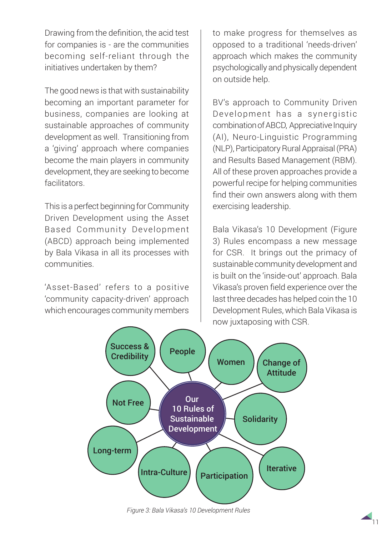Drawing from the definition, the acid test for companies is - are the communities becoming self-reliant through the initiatives undertaken by them?

The good news is that with sustainability becoming an important parameter for business, companies are looking at sustainable approaches of community development as well. Transitioning from a 'giving' approach where companies become the main players in community development, they are seeking to become facilitators.

This is a perfect beginning for Community Driven Development using the Asset Based Community Development (ABCD) approach being implemented by Bala Vikasa in all its processes with communities.

'Asset-Based' refers to a positive 'community capacity-driven' approach which encourages community members

to make progress for themselves as opposed to a traditional 'needs-driven' approach which makes the community psychologically and physically dependent on outside help.

BV's approach to Community Driven Development has a synergistic combination of ABCD, Appreciative Inquiry (AI), Neuro-Linguistic Programming (NLP), Participatory Rural Appraisal (PRA) and Results Based Management (RBM). All of these proven approaches provide a powerful recipe for helping communities find their own answers along with them exercising leadership.

Bala Vikasa's 10 Development (Figure 3) Rules encompass a new message for CSR. It brings out the primacy of sustainable community development and is built on the 'inside-out' approach. Bala Vikasa's proven field experience over the last three decades has helped coin the 10 Development Rules, which Bala Vikasa is now juxtaposing with CSR.



*Figure 3: Bala Vikasa's 10 Development Rules*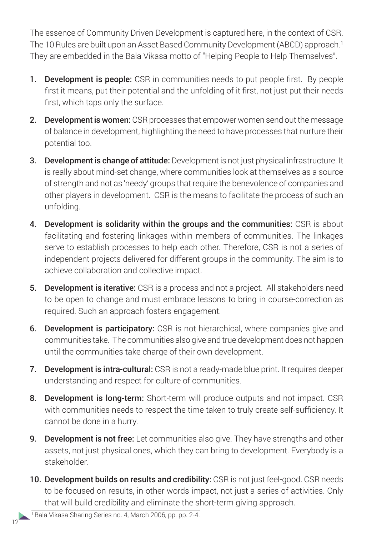The essence of Community Driven Development is captured here, in the context of CSR. The 10 Rules are built upon an Asset Based Community Development (ABCD) approach.<sup>1</sup> They are embedded in the Bala Vikasa motto of "Helping People to Help Themselves".

- **1.** Development is people: CSR in communities needs to put people first. By people first it means, put their potential and the unfolding of it first, not just put their needs first, which taps only the surface.
- 2. Development is women: CSR processes that empower women send out the message of balance in development, highlighting the need to have processes that nurture their potential too.
- 3. Development is change of attitude: Development is not just physical infrastructure. It is really about mind-set change, where communities look at themselves as a source of strength and not as 'needy' groups that require the benevolence of companies and other players in development. CSR is the means to facilitate the process of such an unfolding.
- 4. Development is solidarity within the groups and the communities: CSR is about facilitating and fostering linkages within members of communities. The linkages serve to establish processes to help each other. Therefore, CSR is not a series of independent projects delivered for different groups in the community. The aim is to achieve collaboration and collective impact.
- **5. Development is iterative:** CSR is a process and not a project. All stakeholders need to be open to change and must embrace lessons to bring in course-correction as required. Such an approach fosters engagement.
- 6. Development is participatory: CSR is not hierarchical, where companies give and communities take. The communities also give and true development does not happen until the communities take charge of their own development.
- 7. Development is intra-cultural: CSR is not a ready-made blue print. It requires deeper understanding and respect for culture of communities.
- 8. Development is long-term: Short-term will produce outputs and not impact. CSR with communities needs to respect the time taken to truly create self-sufficiency. It cannot be done in a hurry.
- 9. Development is not free: Let communities also give. They have strengths and other assets, not just physical ones, which they can bring to development. Everybody is a stakeholder.
- 10. Development builds on results and credibility: CSR is not just feel-good. CSR needs to be focused on results, in other words impact, not just a series of activities. Only that will build credibility and eliminate the short-term giving approach.

12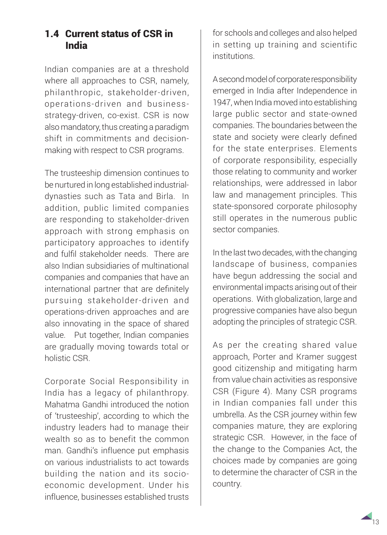## 1.4 Current status of CSR in India

Indian companies are at a threshold where all approaches to CSR, namely, philanthropic, stakeholder-driven, operations-driven and businessstrategy-driven, co-exist. CSR is now also mandatory, thus creating a paradigm shift in commitments and decisionmaking with respect to CSR programs.

The trusteeship dimension continues to be nurtured in long established industrialdynasties such as Tata and Birla. In addition, public limited companies are responding to stakeholder-driven approach with strong emphasis on participatory approaches to identify and fulfil stakeholder needs. There are also Indian subsidiaries of multinational companies and companies that have an international partner that are definitely pursuing stakeholder-driven and operations-driven approaches and are also innovating in the space of shared value. Put together, Indian companies are gradually moving towards total or holistic CSR.

Corporate Social Responsibility in India has a legacy of philanthropy. Mahatma Gandhi introduced the notion of 'trusteeship', according to which the industry leaders had to manage their wealth so as to benefit the common man. Gandhi's influence put emphasis on various industrialists to act towards building the nation and its socioeconomic development. Under his influence, businesses established trusts for schools and colleges and also helped in setting up training and scientific institutions.

A second model of corporate responsibility emerged in India after Independence in 1947, when India moved into establishing large public sector and state-owned companies. The boundaries between the state and society were clearly defined for the state enterprises. Elements of corporate responsibility, especially those relating to community and worker relationships, were addressed in labor law and management principles. This state-sponsored corporate philosophy still operates in the numerous public sector companies.

In the last two decades, with the changing landscape of business, companies have begun addressing the social and environmental impacts arising out of their operations. With globalization, large and progressive companies have also begun adopting the principles of strategic CSR.

As per the creating shared value approach, Porter and Kramer suggest good citizenship and mitigating harm from value chain activities as responsive CSR (Figure 4). Many CSR programs in Indian companies fall under this umbrella. As the CSR journey within few companies mature, they are exploring strategic CSR. However, in the face of the change to the Companies Act, the choices made by companies are going to determine the character of CSR in the country.

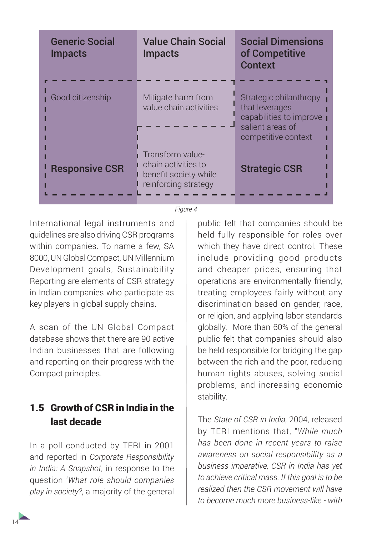| <b>Generic Social</b><br><b>Impacts</b> | <b>Value Chain Social</b><br><b>Impacts</b>                                              | <b>Social Dimensions</b><br>of Competitive<br><b>Context</b>                                                   |
|-----------------------------------------|------------------------------------------------------------------------------------------|----------------------------------------------------------------------------------------------------------------|
| Good citizenship                        | Mitigate harm from<br>value chain activities                                             | Strategic philanthropy<br>that leverages<br>capabilities to improve<br>salient areas of<br>competitive context |
| <b>Responsive CSR</b>                   | Transform value-<br>chain activities to<br>benefit society while<br>reinforcing strategy | <b>Strategic CSR</b>                                                                                           |

*Figure 4*

International legal instruments and guidelines are also driving CSR programs within companies. To name a few, SA 8000, UN Global Compact, UN Millennium Development goals, Sustainability Reporting are elements of CSR strategy in Indian companies who participate as key players in global supply chains.

A scan of the UN Global Compact database shows that there are 90 active Indian businesses that are following and reporting on their progress with the Compact principles.

## 1.5 Growth of CSR in India in the last decade

In a poll conducted by TERI in 2001 and reported in *Corporate Responsibility in India: A Snapshot*, in response to the question '*What role should companies play in society?*, a majority of the general

public felt that companies should be held fully responsible for roles over which they have direct control. These include providing good products and cheaper prices, ensuring that operations are environmentally friendly, treating employees fairly without any discrimination based on gender, race, or religion, and applying labor standards globally. More than 60% of the general public felt that companies should also be held responsible for bridging the gap between the rich and the poor, reducing human rights abuses, solving social problems, and increasing economic stability.

The *State of CSR in India*, 2004, released by TERI mentions that, "*While much has been done in recent years to raise awareness on social responsibility as a business imperative, CSR in India has yet to achieve critical mass. If this goal is to be realized then the CSR movement will have to become much more business-like - with*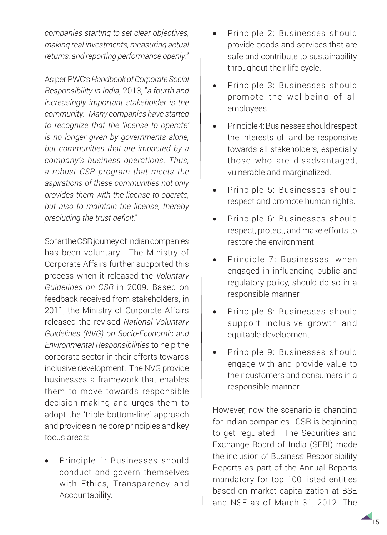*companies starting to set clear objectives, making real investments, measuring actual returns, and reporting performance openly.*"

As per PWC's *Handbook of Corporate Social Responsibility in India*, 2013, "*a fourth and increasingly important stakeholder is the community. Many companies have started to recognize that the 'license to operate' is no longer given by governments alone, but communities that are impacted by a company's business operations. Thus, a robust CSR program that meets the aspirations of these communities not only provides them with the license to operate, but also to maintain the license, thereby precluding the trust deficit*."

So far the CSR journey of Indian companies has been voluntary. The Ministry of Corporate Affairs further supported this process when it released the *Voluntary Guidelines on CSR* in 2009. Based on feedback received from stakeholders, in 2011, the Ministry of Corporate Affairs released the revised *National Voluntary Guidelines (NVG) on Socio-Economic and Environmental Responsibilities* to help the corporate sector in their efforts towards inclusive development. The NVG provide businesses a framework that enables them to move towards responsible decision-making and urges them to adopt the 'triple bottom-line' approach and provides nine core principles and key focus areas:

Principle 1: Businesses should conduct and govern themselves with Ethics, Transparency and Accountability.

- Principle 2: Businesses should provide goods and services that are safe and contribute to sustainability throughout their life cycle.
- Principle 3: Businesses should promote the wellbeing of all employees.
- Principle 4: Businesses should respect the interests of, and be responsive towards all stakeholders, especially those who are disadvantaged, vulnerable and marginalized.
- Principle 5: Businesses should respect and promote human rights.
- Principle 6: Businesses should respect, protect, and make efforts to restore the environment.
- Principle 7: Businesses, when engaged in influencing public and regulatory policy, should do so in a responsible manner.
- Principle 8: Businesses should support inclusive growth and equitable development.
- Principle 9: Businesses should engage with and provide value to their customers and consumers in a responsible manner.

However, now the scenario is changing for Indian companies. CSR is beginning to get regulated. The Securities and Exchange Board of India (SEBI) made the inclusion of Business Responsibility Reports as part of the Annual Reports mandatory for top 100 listed entities based on market capitalization at BSE and NSE as of March 31, 2012. The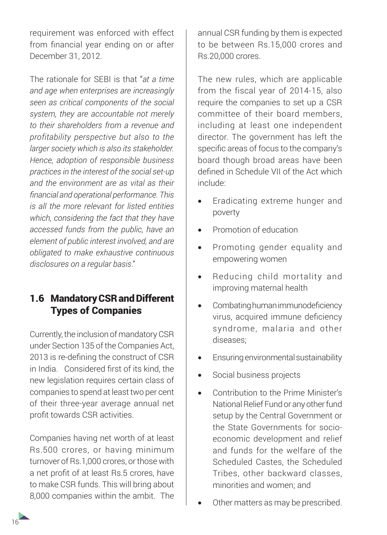requirement was enforced with effect from financial year ending on or after December 31, 2012.

The rationale for SEBI is that "*at a time and age when enterprises are increasingly seen as critical components of the social system, they are accountable not merely to their shareholders from a revenue and profitability perspective but also to the larger society which is also its stakeholder. Hence, adoption of responsible business practices in the interest of the social set-up and the environment are as vital as their financial and operational performance. This is all the more relevant for listed entities which, considering the fact that they have accessed funds from the public, have an element of public interest involved, and are obligated to make exhaustive continuous disclosures on a regular basis*."

## 1.6 Mandatory CSR and Different Types of Companies

Currently, the inclusion of mandatory CSR under Section 135 of the Companies Act, 2013 is re-defining the construct of CSR in India. Considered first of its kind, the new legislation requires certain class of companies to spend at least two per cent of their three-year average annual net profit towards CSR activities.

Companies having net worth of at least Rs.500 crores, or having minimum turnover of Rs.1,000 crores, or those with a net profit of at least Rs.5 crores, have to make CSR funds. This will bring about 8,000 companies within the ambit. The

annual CSR funding by them is expected to be between Rs.15,000 crores and Rs.20,000 crores.

The new rules, which are applicable from the fiscal year of 2014-15, also require the companies to set up a CSR committee of their board members, including at least one independent director. The government has left the specific areas of focus to the company's board though broad areas have been defined in Schedule VII of the Act which include:

- Eradicating extreme hunger and poverty
- Promotion of education
- • Promoting gender equality and empowering women
- • Reducing child mortality and improving maternal health
- Combating human immunodeficiency virus, acquired immune deficiency syndrome, malaria and other diseases;
- Ensuring environmental sustainability
- Social business projects
- Contribution to the Prime Minister's National Relief Fund or any other fund setup by the Central Government or the State Governments for socioeconomic development and relief and funds for the welfare of the Scheduled Castes, the Scheduled Tribes, other backward classes, minorities and women; and
- Other matters as may be prescribed.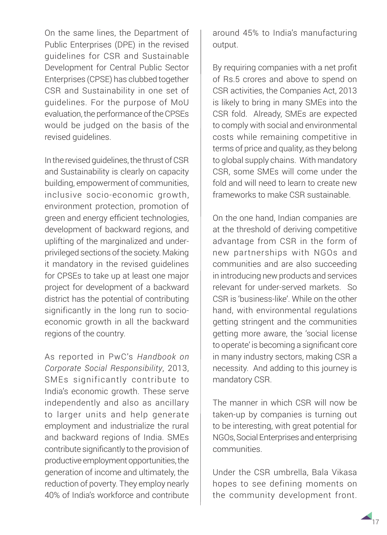On the same lines, the Department of Public Enterprises (DPE) in the revised guidelines for CSR and Sustainable Development for Central Public Sector Enterprises (CPSE) has clubbed together CSR and Sustainability in one set of guidelines. For the purpose of MoU evaluation, the performance of the CPSEs would be judged on the basis of the revised guidelines.

In the revised guidelines, the thrust of CSR and Sustainability is clearly on capacity building, empowerment of communities, inclusive socio-economic growth, environment protection, promotion of green and energy efficient technologies, development of backward regions, and uplifting of the marginalized and underprivileged sections of the society. Making it mandatory in the revised guidelines for CPSEs to take up at least one major project for development of a backward district has the potential of contributing significantly in the long run to socioeconomic growth in all the backward regions of the country.

As reported in PwC's *Handbook on Corporate Social Responsibility*, 2013, SMEs significantly contribute to India's economic growth. These serve independently and also as ancillary to larger units and help generate employment and industrialize the rural and backward regions of India. SMEs contribute significantly to the provision of productive employment opportunities, the generation of income and ultimately, the reduction of poverty. They employ nearly 40% of India's workforce and contribute

around 45% to India's manufacturing output.

By requiring companies with a net profit of Rs.5 crores and above to spend on CSR activities, the Companies Act, 2013 is likely to bring in many SMEs into the CSR fold. Already, SMEs are expected to comply with social and environmental costs while remaining competitive in terms of price and quality, as they belong to global supply chains. With mandatory CSR, some SMEs will come under the fold and will need to learn to create new frameworks to make CSR sustainable.

On the one hand, Indian companies are at the threshold of deriving competitive advantage from CSR in the form of new partnerships with NGOs and communities and are also succeeding in introducing new products and services relevant for under-served markets. So CSR is 'business-like'. While on the other hand, with environmental regulations getting stringent and the communities getting more aware, the 'social license to operate' is becoming a significant core in many industry sectors, making CSR a necessity. And adding to this journey is mandatory CSR.

The manner in which CSR will now be taken-up by companies is turning out to be interesting, with great potential for NGOs, Social Enterprises and enterprising communities.

Under the CSR umbrella, Bala Vikasa hopes to see defining moments on the community development front.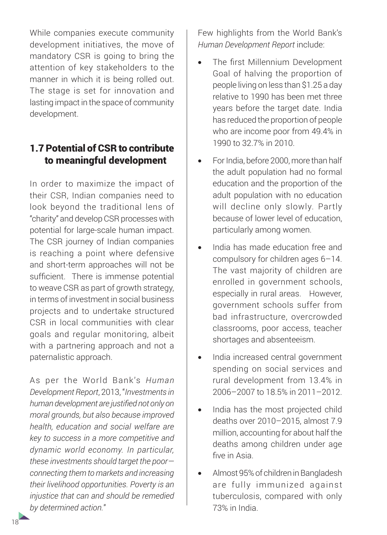While companies execute community development initiatives, the move of mandatory CSR is going to bring the attention of key stakeholders to the manner in which it is being rolled out. The stage is set for innovation and lasting impact in the space of community development.

## 1.7 Potential of CSR to contribute to meaningful development

In order to maximize the impact of their CSR, Indian companies need to look beyond the traditional lens of "charity" and develop CSR processes with potential for large-scale human impact. The CSR journey of Indian companies is reaching a point where defensive and short-term approaches will not be sufficient. There is immense potential to weave CSR as part of growth strategy, in terms of investment in social business projects and to undertake structured CSR in local communities with clear goals and regular monitoring, albeit with a partnering approach and not a paternalistic approach.

As per the World Bank's *Human Development Report*, 2013, "*Investments in human development are justified not only on moral grounds, but also because improved health, education and social welfare are key to success in a more competitive and dynamic world economy. In particular, these investments should target the poor connecting them to markets and increasing their livelihood opportunities. Poverty is an injustice that can and should be remedied by determined action.*"

Few highlights from the World Bank's *Human Development Report* include:

- The first Millennium Development Goal of halving the proportion of people living on less than \$1.25 a day relative to 1990 has been met three years before the target date. India has reduced the proportion of people who are income poor from 49.4% in 1990 to 32.7% in 2010.
- For India, before 2000, more than half the adult population had no formal education and the proportion of the adult population with no education will decline only slowly. Partly because of lower level of education, particularly among women.
- India has made education free and compulsory for children ages 6–14. The vast majority of children are enrolled in government schools, especially in rural areas. However, government schools suffer from bad infrastructure, overcrowded classrooms, poor access, teacher shortages and absenteeism.
- India increased central government spending on social services and rural development from 13.4% in 2006–2007 to 18.5% in 2011–2012.
- India has the most projected child deaths over 2010–2015, almost 7.9 million, accounting for about half the deaths among children under age five in Asia.
- Almost 95% of children in Bangladesh are fully immunized against tuberculosis, compared with only 73% in India.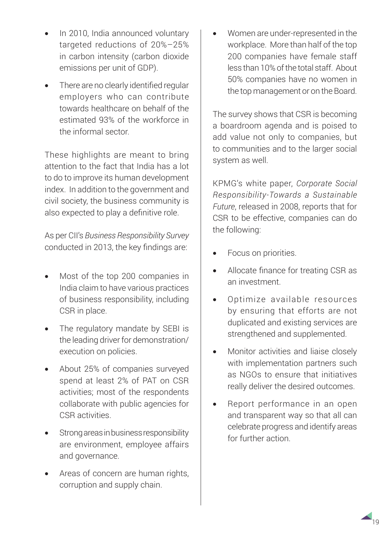- In 2010, India announced voluntary targeted reductions of 20%–25% in carbon intensity (carbon dioxide emissions per unit of GDP).
- There are no clearly identified regular employers who can contribute towards healthcare on behalf of the estimated 93% of the workforce in the informal sector.

These highlights are meant to bring attention to the fact that India has a lot to do to improve its human development index. In addition to the government and civil society, the business community is also expected to play a definitive role.

As per CII's *Business Responsibility Survey* conducted in 2013, the key findings are:

- Most of the top 200 companies in India claim to have various practices of business responsibility, including CSR in place.
- The regulatory mandate by SEBI is the leading driver for demonstration/ execution on policies.
- About 25% of companies surveyed spend at least 2% of PAT on CSR activities; most of the respondents collaborate with public agencies for CSR activities.
- Strong areas in business responsibility are environment, employee affairs and governance.
- Areas of concern are human rights, corruption and supply chain.

Women are under-represented in the workplace. More than half of the top 200 companies have female staff less than 10% of the total staff. About 50% companies have no women in the top management or on the Board.

The survey shows that CSR is becoming a boardroom agenda and is poised to add value not only to companies, but to communities and to the larger social system as well.

KPMG's white paper, *Corporate Social Responsibility-Towards a Sustainable Future*, released in 2008, reports that for CSR to be effective, companies can do the following:

- Focus on priorities.
- Allocate finance for treating CSR as an investment.
- • Optimize available resources by ensuring that efforts are not duplicated and existing services are strengthened and supplemented.
- Monitor activities and liaise closely with implementation partners such as NGOs to ensure that initiatives really deliver the desired outcomes.
- Report performance in an open and transparent way so that all can celebrate progress and identify areas for further action.

19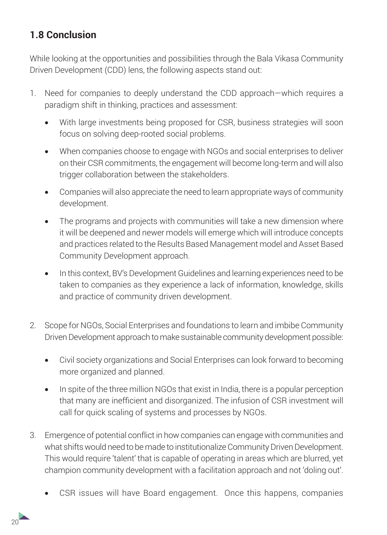## **1.8 Conclusion**

While looking at the opportunities and possibilities through the Bala Vikasa Community Driven Development (CDD) lens, the following aspects stand out:

- 1. Need for companies to deeply understand the CDD approach—which requires a paradigm shift in thinking, practices and assessment:
	- With large investments being proposed for CSR, business strategies will soon focus on solving deep-rooted social problems.
	- When companies choose to engage with NGOs and social enterprises to deliver on their CSR commitments, the engagement will become long-term and will also trigger collaboration between the stakeholders.
	- Companies will also appreciate the need to learn appropriate ways of community development.
	- The programs and projects with communities will take a new dimension where it will be deepened and newer models will emerge which will introduce concepts and practices related to the Results Based Management model and Asset Based Community Development approach.
	- In this context, BV's Development Guidelines and learning experiences need to be taken to companies as they experience a lack of information, knowledge, skills and practice of community driven development.
- 2. Scope for NGOs, Social Enterprises and foundations to learn and imbibe Community Driven Development approach to make sustainable community development possible:
	- Civil society organizations and Social Enterprises can look forward to becoming more organized and planned.
	- In spite of the three million NGOs that exist in India, there is a popular perception that many are inefficient and disorganized. The infusion of CSR investment will call for quick scaling of systems and processes by NGOs.
- 3. Emergence of potential conflict in how companies can engage with communities and what shifts would need to be made to institutionalize Community Driven Development. This would require 'talent' that is capable of operating in areas which are blurred, yet champion community development with a facilitation approach and not 'doling out'.
	- CSR issues will have Board engagement. Once this happens, companies

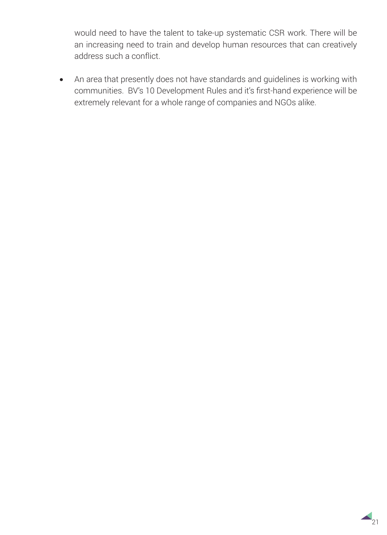would need to have the talent to take-up systematic CSR work. There will be an increasing need to train and develop human resources that can creatively address such a conflict.

• An area that presently does not have standards and guidelines is working with communities. BV's 10 Development Rules and it's first-hand experience will be extremely relevant for a whole range of companies and NGOs alike.

 $\triangle$ <sub>21</sub>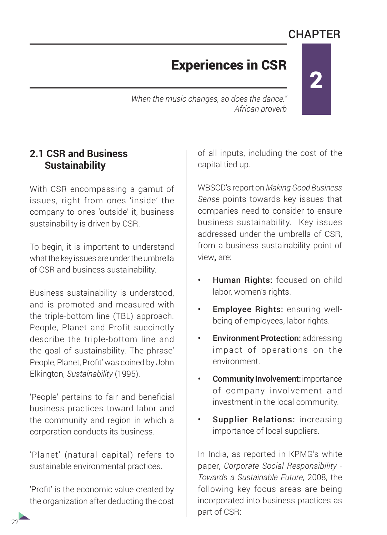# **CHAPTER**

2

## Experiences in CSR

*When the music changes, so does the dance." African proverb*

### **2.1 CSR and Business Sustainability**

With CSR encompassing a gamut of issues, right from ones 'inside' the company to ones 'outside' it, business sustainability is driven by CSR.

To begin, it is important to understand what the key issues are under the umbrella of CSR and business sustainability.

Business sustainability is understood, and is promoted and measured with the triple-bottom line (TBL) approach. People, Planet and Profit succinctly describe the triple-bottom line and the goal of sustainability. The phrase' People, Planet, Profit' was coined by John Elkington, *Sustainability* (1995).

'People' pertains to fair and beneficial business practices toward labor and the community and region in which a corporation conducts its business.

'Planet' (natural capital) refers to sustainable environmental practices.

'Profit' is the economic value created by the organization after deducting the cost

of all inputs, including the cost of the capital tied up.

WBSCD's report on *Making Good Business Sense* points towards key issues that companies need to consider to ensure business sustainability. Key issues addressed under the umbrella of CSR, from a business sustainability point of view**,** are:

- Human Rights: focused on child labor, women's rights.
- Employee Rights: ensuring wellbeing of employees, labor rights.
- **Environment Protection: addressing** impact of operations on the environment.
- Community Involvement: importance of company involvement and investment in the local community.
- Supplier Relations: increasing importance of local suppliers.

In India, as reported in KPMG's white paper, *Corporate Social Responsibility - Towards a Sustainable Future*, 2008, the following key focus areas are being incorporated into business practices as part of CSR: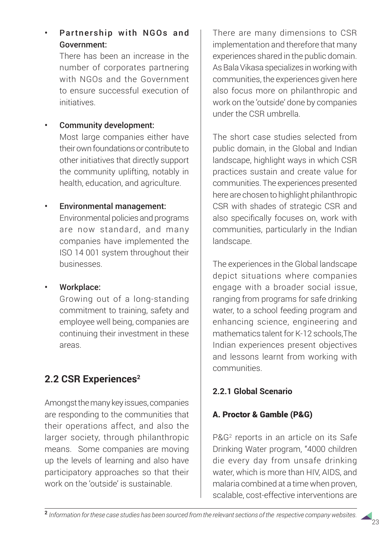There has been an increase in the number of corporates partnering with NGOs and the Government to ensure successful execution of initiatives.

### Community development:

Most large companies either have their own foundations or contribute to other initiatives that directly support the community uplifting, notably in health, education, and agriculture.

## • Environmental management:

Environmental policies and programs are now standard, and many companies have implemented the ISO 14 001 system throughout their businesses.

### Workplace:

Growing out of a long-standing commitment to training, safety and employee well being, companies are continuing their investment in these areas.

## **2.2 CSR Experiences2**

Amongst the many key issues, companies are responding to the communities that their operations affect, and also the larger society, through philanthropic means. Some companies are moving up the levels of learning and also have participatory approaches so that their work on the 'outside' is sustainable.

There are many dimensions to CSR implementation and therefore that many experiences shared in the public domain. As Bala Vikasa specializes in working with communities, the experiences given here also focus more on philanthropic and work on the 'outside' done by companies under the CSR umbrella.

The short case studies selected from public domain, in the Global and Indian landscape, highlight ways in which CSR practices sustain and create value for communities. The experiences presented here are chosen to highlight philanthropic CSR with shades of strategic CSR and also specifically focuses on, work with communities, particularly in the Indian landscape.

The experiences in the Global landscape depict situations where companies engage with a broader social issue, ranging from programs for safe drinking water, to a school feeding program and enhancing science, engineering and mathematics talent for K-12 schools,The Indian experiences present objectives and lessons learnt from working with communities.

## **2.2.1 Global Scenario**

## A. Proctor & Gamble (P&G)

P&G2 reports in an article on its Safe Drinking Water program, "4000 children die every day from unsafe drinking water, which is more than HIV, AIDS, and malaria combined at a time when proven, scalable, cost-effective interventions are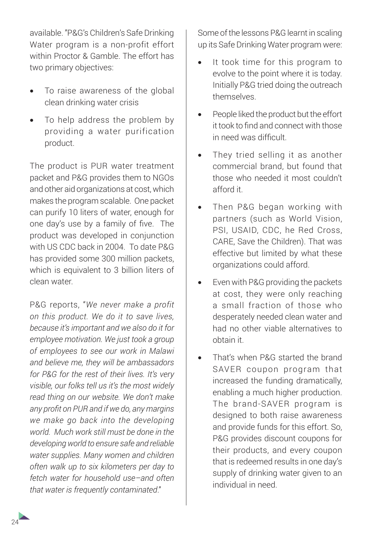available. "P&G's Children's Safe Drinking Water program is a non-profit effort within Proctor & Gamble. The effort has two primary objectives:

- To raise awareness of the global clean drinking water crisis
- To help address the problem by providing a water purification product.

The product is PUR water treatment packet and P&G provides them to NGOs and other aid organizations at cost, which makes the program scalable. One packet can purify 10 liters of water, enough for one day's use by a family of five. The product was developed in conjunction with US CDC back in 2004. To date P&G has provided some 300 million packets, which is equivalent to 3 billion liters of clean water.

P&G reports, "*We never make a profit on this product. We do it to save lives, because it's important and we also do it for employee motivation. We just took a group of employees to see our work in Malawi and believe me, they will be ambassadors for P&G for the rest of their lives. It's very visible, our folks tell us it's the most widely read thing on our website. We don't make any profit on PUR and if we do, any margins we make go back into the developing world. Much work still must be done in the developing world to ensure safe and reliable water supplies. Many women and children often walk up to six kilometers per day to fetch water for household use–and often that water is frequently contaminated*."

Some of the lessons P&G learnt in scaling up its Safe Drinking Water program were:

- It took time for this program to evolve to the point where it is today. Initially P&G tried doing the outreach themselves.
- People liked the product but the effort it took to find and connect with those in need was difficult.
- They tried selling it as another commercial brand, but found that those who needed it most couldn't afford it.
- Then P&G began working with partners (such as World Vision, PSI, USAID, CDC, he Red Cross, CARE, Save the Children). That was effective but limited by what these organizations could afford.
- Even with P&G providing the packets at cost, they were only reaching a small fraction of those who desperately needed clean water and had no other viable alternatives to obtain it.
- That's when P&G started the brand SAVER coupon program that increased the funding dramatically, enabling a much higher production. The brand-SAVER program is designed to both raise awareness and provide funds for this effort. So, P&G provides discount coupons for their products, and every coupon that is redeemed results in one day's supply of drinking water given to an individual in need.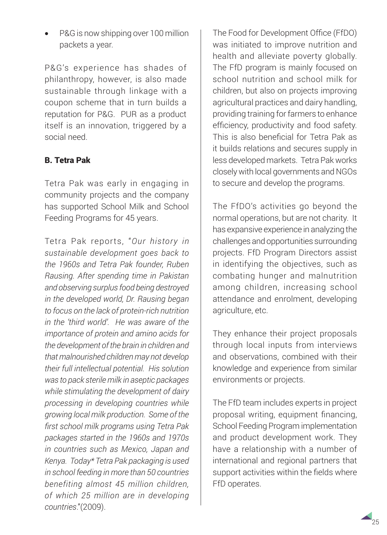P&G is now shipping over 100 million packets a year.

P&G's experience has shades of philanthropy, however, is also made sustainable through linkage with a coupon scheme that in turn builds a reputation for P&G. PUR as a product itself is an innovation, triggered by a social need.

## B. Tetra Pak

Tetra Pak was early in engaging in community projects and the company has supported School Milk and School Feeding Programs for 45 years.

Tetra Pak reports, "*Our history in sustainable development goes back to the 1960s and Tetra Pak founder, Ruben Rausing. After spending time in Pakistan and observing surplus food being destroyed in the developed world, Dr. Rausing began to focus on the lack of protein-rich nutrition in the 'third world'. He was aware of the importance of protein and amino acids for the development of the brain in children and that malnourished children may not develop their full intellectual potential. His solution was to pack sterile milk in aseptic packages while stimulating the development of dairy processing in developing countries while growing local milk production. Some of the first school milk programs using Tetra Pak packages started in the 1960s and 1970s in countries such as Mexico, Japan and Kenya. Today\* Tetra Pak packaging is used in school feeding in more than 50 countries benefiting almost 45 million children, of which 25 million are in developing countries*."(2009).

The Food for Development Office (FfDO) was initiated to improve nutrition and health and alleviate poverty globally. The FfD program is mainly focused on school nutrition and school milk for children, but also on projects improving agricultural practices and dairy handling, providing training for farmers to enhance efficiency, productivity and food safety. This is also beneficial for Tetra Pak as it builds relations and secures supply in less developed markets. Tetra Pak works closely with local governments and NGOs to secure and develop the programs.

The FfDO's activities go beyond the normal operations, but are not charity. It has expansive experience in analyzing the challenges and opportunities surrounding projects. FfD Program Directors assist in identifying the objectives, such as combating hunger and malnutrition among children, increasing school attendance and enrolment, developing agriculture, etc.

They enhance their project proposals through local inputs from interviews and observations, combined with their knowledge and experience from similar environments or projects.

The FfD team includes experts in project proposal writing, equipment financing, School Feeding Program implementation and product development work. They have a relationship with a number of international and regional partners that support activities within the fields where FfD operates.

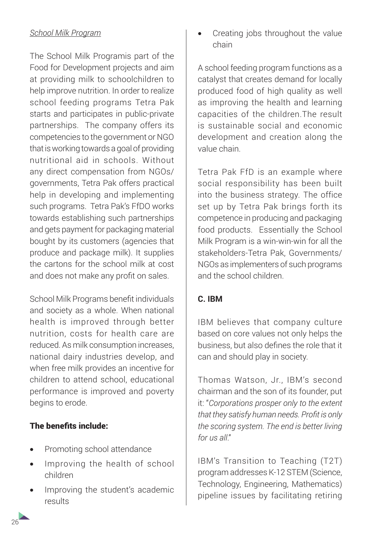### *School Milk Program*

The School Milk Programis part of the Food for Development projects and aim at providing milk to schoolchildren to help improve nutrition. In order to realize school feeding programs Tetra Pak starts and participates in public-private partnerships. The company offers its competencies to the government or NGO that is working towards a goal of providing nutritional aid in schools. Without any direct compensation from NGOs/ governments, Tetra Pak offers practical help in developing and implementing such programs. Tetra Pak's FfDO works towards establishing such partnerships and gets payment for packaging material bought by its customers (agencies that produce and package milk). It supplies the cartons for the school milk at cost and does not make any profit on sales.

School Milk Programs benefit individuals and society as a whole. When national health is improved through better nutrition, costs for health care are reduced. As milk consumption increases, national dairy industries develop, and when free milk provides an incentive for children to attend school, educational performance is improved and poverty begins to erode.

#### The benefits include:

- Promoting school attendance
- Improving the health of school children
- Improving the student's academic results

Creating jobs throughout the value chain

A school feeding program functions as a catalyst that creates demand for locally produced food of high quality as well as improving the health and learning capacities of the children.The result is sustainable social and economic development and creation along the value chain.

Tetra Pak FfD is an example where social responsibility has been built into the business strategy. The office set up by Tetra Pak brings forth its competence in producing and packaging food products. Essentially the School Milk Program is a win-win-win for all the stakeholders-Tetra Pak, Governments/ NGOs as implementers of such programs and the school children.

#### **C. IBM**

IBM believes that company culture based on core values not only helps the business, but also defines the role that it can and should play in society.

Thomas Watson, Jr., IBM's second chairman and the son of its founder, put it: "*Corporations prosper only to the extent that they satisfy human needs. Profit is only the scoring system. The end is better living for us all*."

IBM's Transition to Teaching (T2T) program addresses K-12 STEM (Science, Technology, Engineering, Mathematics) pipeline issues by facilitating retiring

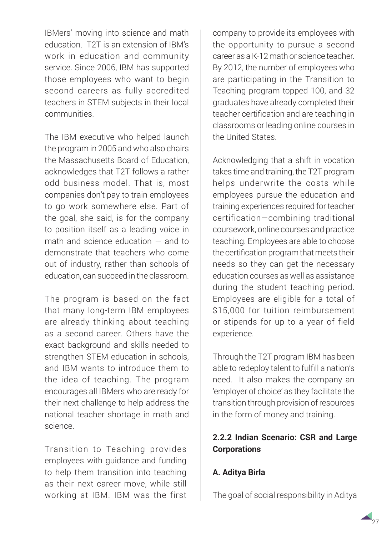IBMers' moving into science and math education. T2T is an extension of IBM's work in education and community service. Since 2006, IBM has supported those employees who want to begin second careers as fully accredited teachers in STEM subjects in their local communities.

The IBM executive who helped launch the program in 2005 and who also chairs the Massachusetts Board of Education, acknowledges that T2T follows a rather odd business model. That is, most companies don't pay to train employees to go work somewhere else. Part of the goal, she said, is for the company to position itself as a leading voice in math and science education — and to demonstrate that teachers who come out of industry, rather than schools of education, can succeed in the classroom.

The program is based on the fact that many long-term IBM employees are already thinking about teaching as a second career. Others have the exact background and skills needed to strengthen STEM education in schools, and IBM wants to introduce them to the idea of teaching. The program encourages all IBMers who are ready for their next challenge to help address the national teacher shortage in math and science.

Transition to Teaching provides employees with guidance and funding to help them transition into teaching as their next career move, while still working at IBM. IBM was the first company to provide its employees with the opportunity to pursue a second career as a K-12 math or science teacher. By 2012, the number of employees who are participating in the Transition to Teaching program topped 100, and 32 graduates have already completed their teacher certification and are teaching in classrooms or leading online courses in the United States.

Acknowledging that a shift in vocation takes time and training, the T2T program helps underwrite the costs while employees pursue the education and training experiences required for teacher certification—combining traditional coursework, online courses and practice teaching. Employees are able to choose the certification program that meets their needs so they can get the necessary education courses as well as assistance during the student teaching period. Employees are eligible for a total of \$15,000 for tuition reimbursement or stipends for up to a year of field experience.

Through the T2T program IBM has been able to redeploy talent to fulfill a nation's need. It also makes the company an 'employer of choice' as they facilitate the transition through provision of resources in the form of money and training.

## **2.2.2 Indian Scenario: CSR and Large Corporations**

## **A. Aditya Birla**

The goal of social responsibility in Aditya

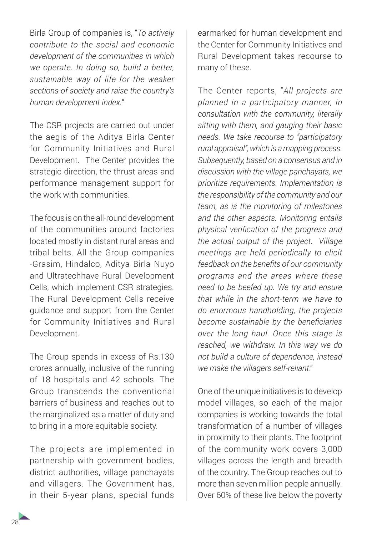Birla Group of companies is, "*To actively contribute to the social and economic development of the communities in which we operate. In doing so, build a better, sustainable way of life for the weaker sections of society and raise the country's human development index.*"

The CSR projects are carried out under the aegis of the Aditya Birla Center for Community Initiatives and Rural Development. The Center provides the strategic direction, the thrust areas and performance management support for the work with communities.

The focus is on the all-round development of the communities around factories located mostly in distant rural areas and tribal belts. All the Group companies -Grasim, Hindalco, Aditya Birla Nuyo and Ultratechhave Rural Development Cells, which implement CSR strategies. The Rural Development Cells receive guidance and support from the Center for Community Initiatives and Rural Development.

The Group spends in excess of Rs.130 crores annually, inclusive of the running of 18 hospitals and 42 schools. The Group transcends the conventional barriers of business and reaches out to the marginalized as a matter of duty and to bring in a more equitable society.

The projects are implemented in partnership with government bodies, district authorities, village panchayats and villagers. The Government has, in their 5-year plans, special funds

earmarked for human development and the Center for Community Initiatives and Rural Development takes recourse to many of these.

The Center reports, "*All projects are planned in a participatory manner, in consultation with the community, literally sitting with them, and gauging their basic needs. We take recourse to "participatory rural appraisal", which is a mapping process. Subsequently, based on a consensus and in discussion with the village panchayats, we prioritize requirements. Implementation is the responsibility of the community and our team, as is the monitoring of milestones and the other aspects. Monitoring entails physical verification of the progress and the actual output of the project. Village meetings are held periodically to elicit feedback on the benefits of our community programs and the areas where these need to be beefed up. We try and ensure that while in the short-term we have to do enormous handholding, the projects become sustainable by the beneficiaries over the long haul. Once this stage is reached, we withdraw. In this way we do not build a culture of dependence, instead we make the villagers self-reliant*."

One of the unique initiatives is to develop model villages, so each of the major companies is working towards the total transformation of a number of villages in proximity to their plants. The footprint of the community work covers 3,000 villages across the length and breadth of the country. The Group reaches out to more than seven million people annually. Over 60% of these live below the poverty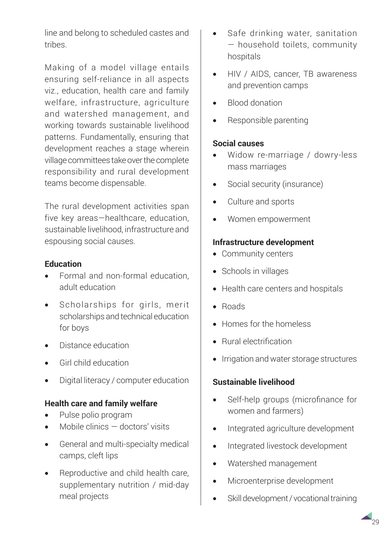line and belong to scheduled castes and tribes.

Making of a model village entails ensuring self-reliance in all aspects viz., education, health care and family welfare, infrastructure, agriculture and watershed management, and working towards sustainable livelihood patterns. Fundamentally, ensuring that development reaches a stage wherein village committees take over the complete responsibility and rural development teams become dispensable.

The rural development activities span five key areas—healthcare, education, sustainable livelihood, infrastructure and espousing social causes.

#### **Education**

- Formal and non-formal education. adult education
- • Scholarships for girls, merit scholarships and technical education for boys
- Distance education
- Girl child education
- Digital literacy / computer education

#### **Health care and family welfare**

- Pulse polio program
- Mobile clinics  $-$  doctors' visits
- General and multi-specialty medical camps, cleft lips
- Reproductive and child health care, supplementary nutrition / mid-day meal projects
- Safe drinking water, sanitation — household toilets, community hospitals
- HIV / AIDS, cancer, TB awareness and prevention camps
- **Blood donation**
- Responsible parenting

#### **Social causes**

- Widow re-marriage / dowry-less mass marriages
- Social security (insurance)
- Culture and sports
- Women empowerment

#### **Infrastructure development**

- Community centers
- Schools in villages
- Health care centers and hospitals
- • Roads
- Homes for the homeless
- Rural electrification
- Irrigation and water storage structures

### **Sustainable livelihood**

- Self-help groups (microfinance for women and farmers)
- • Integrated agriculture development
- Integrated livestock development
- • Watershed management
- Microenterprise development
- Skill development / vocational training

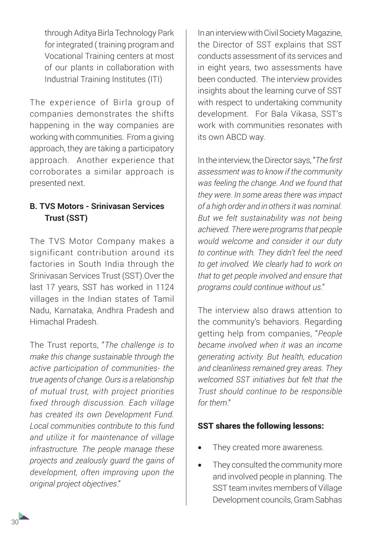through Aditya Birla Technology Park for integrated ( training program and Vocational Training centers at most of our plants in collaboration with Industrial Training Institutes (ITI)

The experience of Birla group of companies demonstrates the shifts happening in the way companies are working with communities. From a giving approach, they are taking a participatory approach. Another experience that corroborates a similar approach is presented next.

## **B. TVS Motors - Srinivasan Services Trust (SST)**

The TVS Motor Company makes a significant contribution around its factories in South India through the Srinivasan Services Trust (SST).Over the last 17 years, SST has worked in 1124 villages in the Indian states of Tamil Nadu, Karnataka, Andhra Pradesh and Himachal Pradesh.

The Trust reports, "*The challenge is to make this change sustainable through the active participation of communities- the true agents of change. Ours is a relationship of mutual trust, with project priorities fixed through discussion. Each village has created its own Development Fund. Local communities contribute to this fund and utilize it for maintenance of village infrastructure. The people manage these projects and zealously guard the gains of development, often improving upon the original project objectives*."

In an interview with Civil Society Magazine, the Director of SST explains that SST conducts assessment of its services and in eight years, two assessments have been conducted. The interview provides insights about the learning curve of SST with respect to undertaking community development. For Bala Vikasa, SST's work with communities resonates with its own ABCD way.

In the interview, the Director says, "*The first assessment was to know if the community was feeling the change. And we found that they were. In some areas there was impact of a high order and in others it was nominal. But we felt sustainability was not being achieved. There were programs that people would welcome and consider it our duty to continue with. They didn't feel the need to get involved. We clearly had to work on that to get people involved and ensure that programs could continue without us*."

The interview also draws attention to the community's behaviors. Regarding getting help from companies, "*People became involved when it was an income generating activity. But health, education and cleanliness remained grey areas. They welcomed SST initiatives but felt that the Trust should continue to be responsible for them*."

#### SST shares the following lessons:

- They created more awareness.
- They consulted the community more and involved people in planning. The SST team invites members of Village Development councils, Gram Sabhas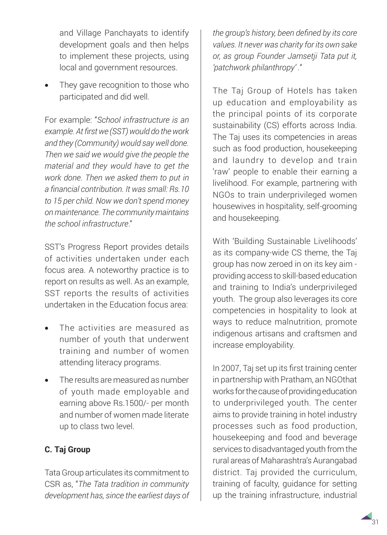and Village Panchayats to identify development goals and then helps to implement these projects, using local and government resources.

They gave recognition to those who participated and did well.

For example: "*School infrastructure is an example. At first we (SST) would do the work and they (Community) would say well done. Then we said we would give the people the material and they would have to get the work done. Then we asked them to put in a financial contribution. It was small: Rs.10 to 15 per child. Now we don't spend money on maintenance. The community maintains the school infrastructure*."

SST's Progress Report provides details of activities undertaken under each focus area. A noteworthy practice is to report on results as well. As an example, SST reports the results of activities undertaken in the Education focus area:

- The activities are measured as number of youth that underwent training and number of women attending literacy programs.
- The results are measured as number of youth made employable and earning above Rs.1500/- per month and number of women made literate up to class two level.

## **C. Taj Group**

Tata Group articulates its commitment to CSR as, "*The Tata tradition in community development has, since the earliest days of*  *the group's history, been defined by its core values. It never was charity for its own sake or, as group Founder Jamsetji Tata put it, 'patchwork philanthropy' ."*

The Taj Group of Hotels has taken up education and employability as the principal points of its corporate sustainability (CS) efforts across India. The Taj uses its competencies in areas such as food production, housekeeping and laundry to develop and train 'raw' people to enable their earning a livelihood. For example, partnering with NGOs to train underprivileged women housewives in hospitality, self-grooming and housekeeping.

With 'Building Sustainable Livelihoods' as its company-wide CS theme, the Taj group has now zeroed in on its key aim providing access to skill-based education and training to India's underprivileged youth. The group also leverages its core competencies in hospitality to look at ways to reduce malnutrition, promote indigenous artisans and craftsmen and increase employability.

In 2007, Taj set up its first training center in partnership with Pratham, an NGOthat works for the cause of providing education to underprivileged youth. The center aims to provide training in hotel industry processes such as food production, housekeeping and food and beverage services to disadvantaged youth from the rural areas of Maharashtra's Aurangabad district. Taj provided the curriculum, training of faculty, guidance for setting up the training infrastructure, industrial

31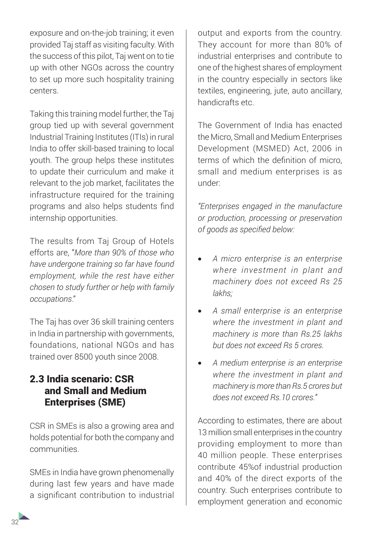exposure and on-the-job training; it even provided Taj staff as visiting faculty. With the success of this pilot, Taj went on to tie up with other NGOs across the country to set up more such hospitality training centers.

Taking this training model further, the Taj group tied up with several government Industrial Training Institutes (ITIs) in rural India to offer skill-based training to local youth. The group helps these institutes to update their curriculum and make it relevant to the job market, facilitates the infrastructure required for the training programs and also helps students find internship opportunities.

The results from Taj Group of Hotels efforts are, "*More than 90% of those who have undergone training so far have found employment, while the rest have either chosen to study further or help with family occupations*."

The Taj has over 36 skill training centers in India in partnership with governments, foundations, national NGOs and has trained over 8500 youth since 2008.

## 2.3 India scenario: CSR and Small and Medium Enterprises (SME)

CSR in SMEs is also a growing area and holds potential for both the company and communities.

SMEs in India have grown phenomenally during last few years and have made a significant contribution to industrial

output and exports from the country. They account for more than 80% of industrial enterprises and contribute to one of the highest shares of employment in the country especially in sectors like textiles, engineering, jute, auto ancillary, handicrafts etc.

The Government of India has enacted the Micro, Small and Medium Enterprises Development (MSMED) Act, 2006 in terms of which the definition of micro, small and medium enterprises is as under:

*"Enterprises engaged in the manufacture or production, processing or preservation of goods as specified below:*

- • *A micro enterprise is an enterprise where investment in plant and machinery does not exceed Rs 25 lakhs;*
- • *A small enterprise is an enterprise where the investment in plant and machinery is more than Rs.25 lakhs but does not exceed Rs 5 crores.*
- • *A medium enterprise is an enterprise where the investment in plant and machinery is more than Rs.5 crores but does not exceed Rs.10 crores."*

According to estimates, there are about 13 million small enterprises in the country providing employment to more than 40 million people. These enterprises contribute 45%of industrial production and 40% of the direct exports of the country. Such enterprises contribute to employment generation and economic

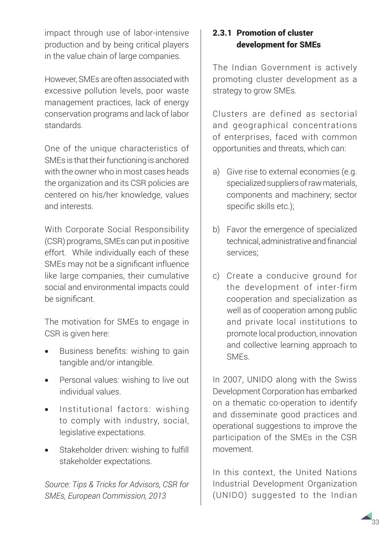impact through use of labor-intensive production and by being critical players in the value chain of large companies.

However, SMEs are often associated with excessive pollution levels, poor waste management practices, lack of energy conservation programs and lack of labor standards.

One of the unique characteristics of SMEs is that their functioning is anchored with the owner who in most cases heads the organization and its CSR policies are centered on his/her knowledge, values and interests.

With Corporate Social Responsibility (CSR) programs, SMEs can put in positive effort. While individually each of these SMEs may not be a significant influence like large companies, their cumulative social and environmental impacts could be significant.

The motivation for SMEs to engage in CSR is given here:

- Business benefits: wishing to gain tangible and/or intangible.
- Personal values: wishing to live out individual values.
- Institutional factors: wishing to comply with industry, social, legislative expectations.
- Stakeholder driven: wishing to fulfill stakeholder expectations.

*Source: Tips & Tricks for Advisors, CSR for SMEs, European Commission, 2013*

### 2.3.1 Promotion of cluster development for SMEs

The Indian Government is actively promoting cluster development as a strategy to grow SMEs.

Clusters are defined as sectorial and geographical concentrations of enterprises, faced with common opportunities and threats, which can:

- a) Give rise to external economies (e.g. specialized suppliers of raw materials, components and machinery; sector specific skills etc.);
- b) Favor the emergence of specialized technical, administrative and financial services;
- c) Create a conducive ground for the development of inter-firm cooperation and specialization as well as of cooperation among public and private local institutions to promote local production, innovation and collective learning approach to SMEs.

In 2007, UNIDO along with the Swiss Development Corporation has embarked on a thematic co-operation to identify and disseminate good practices and operational suggestions to improve the participation of the SMEs in the CSR movement.

In this context, the United Nations Industrial Development Organization (UNIDO) suggested to the Indian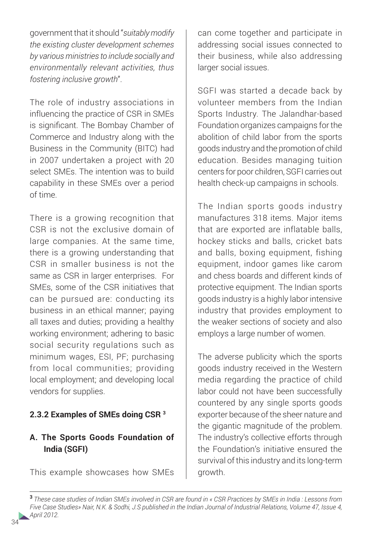government that it should "*suitably modify the existing cluster development schemes by various ministries to include socially and environmentally relevant activities, thus fostering inclusive growth*".

The role of industry associations in influencing the practice of CSR in SMEs is significant. The Bombay Chamber of Commerce and Industry along with the Business in the Community (BITC) had in 2007 undertaken a project with 20 select SMEs. The intention was to build capability in these SMEs over a period of time.

There is a growing recognition that CSR is not the exclusive domain of large companies. At the same time, there is a growing understanding that CSR in smaller business is not the same as CSR in larger enterprises. For SMEs, some of the CSR initiatives that can be pursued are: conducting its business in an ethical manner; paying all taxes and duties; providing a healthy working environment; adhering to basic social security regulations such as minimum wages, ESI, PF; purchasing from local communities; providing local employment; and developing local vendors for supplies.

#### **2.3.2 Examples of SMEs doing CSR 3**

### **A. The Sports Goods Foundation of India (SGFI)**

This example showcases how SMEs

can come together and participate in addressing social issues connected to their business, while also addressing larger social issues.

SGFI was started a decade back by volunteer members from the Indian Sports Industry*.* The Jalandhar-based Foundation organizes campaigns for the abolition of child labor from the sports goods industry and the promotion of child education. Besides managing tuition centers for poor children, SGFI carries out health check-up campaigns in schools.

The Indian sports goods industry manufactures 318 items. Major items that are exported are inflatable balls, hockey sticks and balls, cricket bats and balls, boxing equipment, fishing equipment, indoor games like carom and chess boards and different kinds of protective equipment. The Indian sports goods industry is a highly labor intensive industry that provides employment to the weaker sections of society and also employs a large number of women.

The adverse publicity which the sports goods industry received in the Western media regarding the practice of child labor could not have been successfully countered by any single sports goods exporter because of the sheer nature and the gigantic magnitude of the problem. The industry's collective efforts through the Foundation's initiative ensured the survival of this industry and its long-term growth.

**<sup>3</sup>***These case studies of Indian SMEs involved in CSR are found in « CSR Practices by SMEs in India : Lessons from Five Case Studies» Nair, N.K. & Sodhi, J.S published in the Indian Journal of Industrial Relations, Volume 47, Issue 4, April 2012.*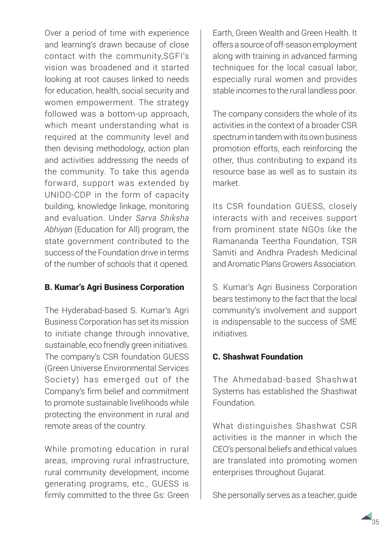Over a period of time with experience and learning's drawn because of close contact with the community,SGFI's vision was broadened and it started looking at root causes linked to needs for education, health, social security and women empowerment. The strategy followed was a bottom-up approach, which meant understanding what is required at the community level and then devising methodology, action plan and activities addressing the needs of the community. To take this agenda forward, support was extended by UNIDO-CDP in the form of capacity building, knowledge linkage, monitoring and evaluation. Under *Sarva Shiksha Abhiyan* (Education for All) program, the state government contributed to the success of the Foundation drive in terms of the number of schools that it opened.

### B. Kumar's Agri Business Corporation

The Hyderabad-based S. Kumar's Agri Business Corporation has set its mission to initiate change through innovative, sustainable, eco friendly green initiatives. The company's CSR foundation GUESS (Green Universe Environmental Services Society) has emerged out of the Company's firm belief and commitment to promote sustainable livelihoods while protecting the environment in rural and remote areas of the country.

While promoting education in rural areas, improving rural infrastructure, rural community development, income generating programs, etc., GUESS is firmly committed to the three Gs: Green Earth, Green Wealth and Green Health. It offers a source of off-season employment along with training in advanced farming techniques for the local casual labor, especially rural women and provides stable incomes to the rural landless poor.

The company considers the whole of its activities in the context of a broader CSR spectrum in tandem with its own business promotion efforts, each reinforcing the other, thus contributing to expand its resource base as well as to sustain its market.

Its CSR foundation GUESS, closely interacts with and receives support from prominent state NGOs like the Ramananda Teertha Foundation, TSR Samiti and Andhra Pradesh Medicinal and Aromatic Plans Growers Association.

S. Kumar's Agri Business Corporation bears testimony to the fact that the local community's involvement and support is indispensable to the success of SME initiatives.

#### C. Shashwat Foundation

The Ahmedabad-based Shashwat Systems has established the Shashwat Foundation.

What distinguishes Shashwat CSR activities is the manner in which the CEO's personal beliefs and ethical values are translated into promoting women enterprises throughout Gujarat.

She personally serves as a teacher, guide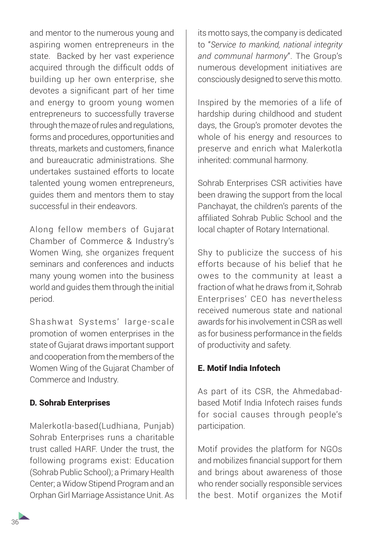and mentor to the numerous young and aspiring women entrepreneurs in the state. Backed by her vast experience acquired through the difficult odds of building up her own enterprise, she devotes a significant part of her time and energy to groom young women entrepreneurs to successfully traverse through the maze of rules and regulations, forms and procedures, opportunities and threats, markets and customers, finance and bureaucratic administrations. She undertakes sustained efforts to locate talented young women entrepreneurs, guides them and mentors them to stay successful in their endeavors.

Along fellow members of Gujarat Chamber of Commerce & Industry's Women Wing, she organizes frequent seminars and conferences and inducts many young women into the business world and guides them through the initial period.

Shashwat Systems' large-scale promotion of women enterprises in the state of Gujarat draws important support and cooperation from the members of the Women Wing of the Gujarat Chamber of Commerce and Industry.

### D. Sohrab Enterprises

Malerkotla-based(Ludhiana, Punjab) Sohrab Enterprises runs a charitable trust called HARF. Under the trust, the following programs exist: Education (Sohrab Public School); a Primary Health Center; a Widow Stipend Program and an Orphan Girl Marriage Assistance Unit. As

its motto says, the company is dedicated to "*Service to mankind, national integrity and communal harmony*". The Group's numerous development initiatives are consciously designed to serve this motto.

Inspired by the memories of a life of hardship during childhood and student days, the Group's promoter devotes the whole of his energy and resources to preserve and enrich what Malerkotla inherited: communal harmony.

Sohrab Enterprises CSR activities have been drawing the support from the local Panchayat, the children's parents of the affiliated Sohrab Public School and the local chapter of Rotary International.

Shy to publicize the success of his efforts because of his belief that he owes to the community at least a fraction of what he draws from it, Sohrab Enterprises' CEO has nevertheless received numerous state and national awards for his involvement in CSR as well as for business performance in the fields of productivity and safety.

#### E. Motif India Infotech

As part of its CSR, the Ahmedabadbased Motif India Infotech raises funds for social causes through people's participation.

Motif provides the platform for NGOs and mobilizes financial support for them and brings about awareness of those who render socially responsible services the best. Motif organizes the Motif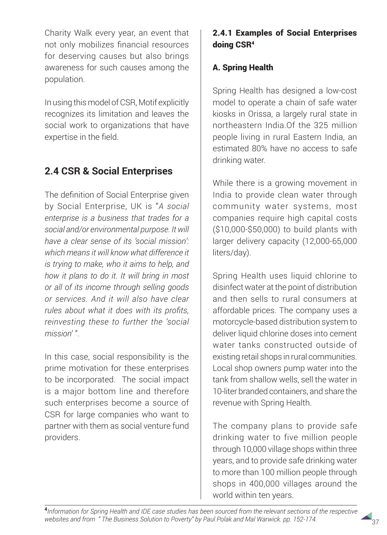Charity Walk every year, an event that not only mobilizes financial resources for deserving causes but also brings awareness for such causes among the population.

In using this model of CSR, Motif explicitly recognizes its limitation and leaves the social work to organizations that have expertise in the field.

## **2.4 CSR & Social Enterprises**

The definition of Social Enterprise given by Social Enterprise, UK is "*A social enterprise is a business that trades for a social and/or environmental purpose. It will have a clear sense of its 'social mission': which means it will know what difference it is trying to make, who it aims to help, and how it plans to do it. It will bring in most or all of its income through selling goods or services. And it will also have clear rules about what it does with its profits, reinvesting these to further the 'social mission*' ".

In this case, social responsibility is the prime motivation for these enterprises to be incorporated. The social impact is a major bottom line and therefore such enterprises become a source of CSR for large companies who want to partner with them as social venture fund providers.

## 2.4.1 Examples of Social Enterprises doing CSR4

### A. Spring Health

Spring Health has designed a low-cost model to operate a chain of safe water kiosks in Orissa, a largely rural state in northeastern India.Of the 325 million people living in rural Eastern India, an estimated 80% have no access to safe drinking water.

While there is a growing movement in India to provide clean water through community water systems, most companies require high capital costs (\$10,000-\$50,000) to build plants with larger delivery capacity (12,000-65,000 liters/day).

Spring Health uses liquid chlorine to disinfect water at the point of distribution and then sells to rural consumers at affordable prices. The company uses a motorcycle-based distribution system to deliver liquid chlorine doses into cement water tanks constructed outside of existing retail shops in rural communities. Local shop owners pump water into the tank from shallow wells, sell the water in 10-liter branded containers, and share the revenue with Spring Health.

The company plans to provide safe drinking water to five million people through 10,000 village shops within three years, and to provide safe drinking water to more than 100 million people through shops in 400,000 villages around the world within ten years.

**<sup>4</sup>***Information for Spring Health and IDE case studies has been sourced from the relevant sections of the respective websites and from " The Business Solution to Poverty" by Paul Polak and Mal Warwick. pp. 152-174.* <sup>37</sup>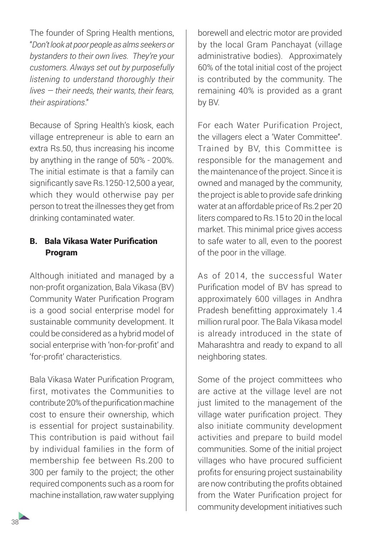The founder of Spring Health mentions, "*Don't look at poor people as alms seekers or bystanders to their own lives. They're your customers. Always set out by purposefully listening to understand thoroughly their lives — their needs, their wants, their fears, their aspirations*."

Because of Spring Health's kiosk, each village entrepreneur is able to earn an extra Rs.50, thus increasing his income by anything in the range of 50% - 200%. The initial estimate is that a family can significantly save Rs.1250-12,500 a year, which they would otherwise pay per person to treat the illnesses they get from drinking contaminated water.

#### B. Bala Vikasa Water Purification Program

Although initiated and managed by a non-profit organization, Bala Vikasa (BV) Community Water Purification Program is a good social enterprise model for sustainable community development. It could be considered as a hybrid model of social enterprise with 'non-for-profit' and 'for-profit' characteristics.

Bala Vikasa Water Purification Program, first, motivates the Communities to contribute 20% of the purification machine cost to ensure their ownership, which is essential for project sustainability. This contribution is paid without fail by individual families in the form of membership fee between Rs.200 to 300 per family to the project; the other required components such as a room for machine installation, raw water supplying

borewell and electric motor are provided by the local Gram Panchayat (village administrative bodies). Approximately 60% of the total initial cost of the project is contributed by the community. The remaining 40% is provided as a grant by BV.

For each Water Purification Project, the villagers elect a 'Water Committee". Trained by BV, this Committee is responsible for the management and the maintenance of the project. Since it is owned and managed by the community, the project is able to provide safe drinking water at an affordable price of Rs.2 per 20 liters compared to Rs.15 to 20 in the local market. This minimal price gives access to safe water to all, even to the poorest of the poor in the village.

As of 2014, the successful Water Purification model of BV has spread to approximately 600 villages in Andhra Pradesh benefitting approximately 1.4 million rural poor. The Bala Vikasa model is already introduced in the state of Maharashtra and ready to expand to all neighboring states.

Some of the project committees who are active at the village level are not just limited to the management of the village water purification project. They also initiate community development activities and prepare to build model communities. Some of the initial project villages who have procured sufficient profits for ensuring project sustainability are now contributing the profits obtained from the Water Purification project for community development initiatives such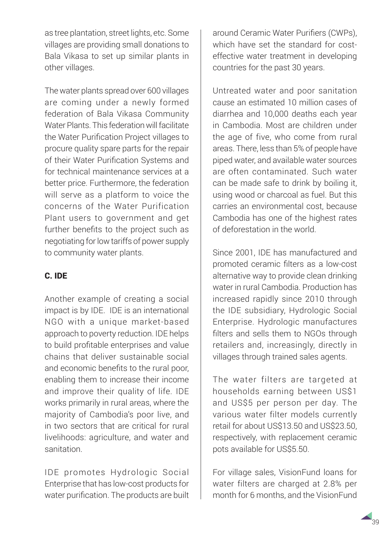as tree plantation, street lights, etc. Some villages are providing small donations to Bala Vikasa to set up similar plants in other villages.

The water plants spread over 600 villages are coming under a newly formed federation of Bala Vikasa Community Water Plants. This federation will facilitate the Water Purification Project villages to procure quality spare parts for the repair of their Water Purification Systems and for technical maintenance services at a better price. Furthermore, the federation will serve as a platform to voice the concerns of the Water Purification Plant users to government and get further benefits to the project such as negotiating for low tariffs of power supply to community water plants.

### C. IDE

Another example of creating a social impact is by IDE. IDE is an international NGO with a unique market-based approach to poverty reduction. IDE helps to build profitable enterprises and value chains that deliver sustainable social and economic benefits to the rural poor, enabling them to increase their income and improve their quality of life. IDE works primarily in rural areas, where the majority of Cambodia's poor live, and in two sectors that are critical for rural livelihoods: agriculture, and water and sanitation.

IDE promotes Hydrologic Social Enterprise that has low-cost products for water purification. The products are built around Ceramic Water Purifiers (CWPs), which have set the standard for costeffective water treatment in developing countries for the past 30 years.

Untreated water and poor sanitation cause an estimated 10 million cases of diarrhea and 10,000 deaths each year in Cambodia. Most are children under the age of five, who come from rural areas. There, less than 5% of people have piped water, and available water sources are often contaminated. Such water can be made safe to drink by boiling it, using wood or charcoal as fuel. But this carries an environmental cost, because Cambodia has one of the highest rates of deforestation in the world.

Since 2001, IDE has manufactured and promoted ceramic filters as a low-cost alternative way to provide clean drinking water in rural Cambodia. Production has increased rapidly since 2010 through the IDE subsidiary, Hydrologic Social Enterprise. Hydrologic manufactures filters and sells them to NGOs through retailers and, increasingly, directly in villages through trained sales agents.

The water filters are targeted at households earning between US\$1 and US\$5 per person per day. The various water filter models currently retail for about US\$13.50 and US\$23.50, respectively, with replacement ceramic pots available for US\$5.50.

For village sales, VisionFund loans for water filters are charged at 2.8% per month for 6 months, and the VisionFund

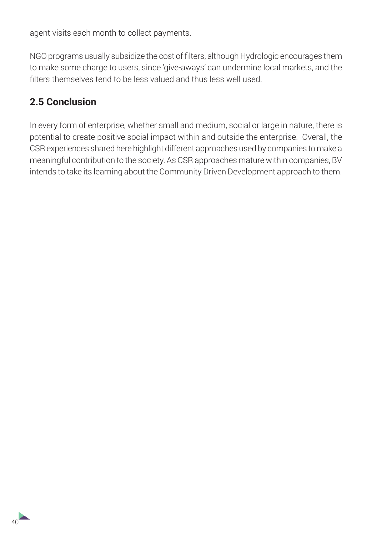agent visits each month to collect payments.

NGO programs usually subsidize the cost of filters, although Hydrologic encourages them to make some charge to users, since 'give-aways' can undermine local markets, and the filters themselves tend to be less valued and thus less well used.

## **2.5 Conclusion**

In every form of enterprise, whether small and medium, social or large in nature, there is potential to create positive social impact within and outside the enterprise. Overall, the CSR experiences shared here highlight different approaches used by companies to make a meaningful contribution to the society. As CSR approaches mature within companies, BV intends to take its learning about the Community Driven Development approach to them.

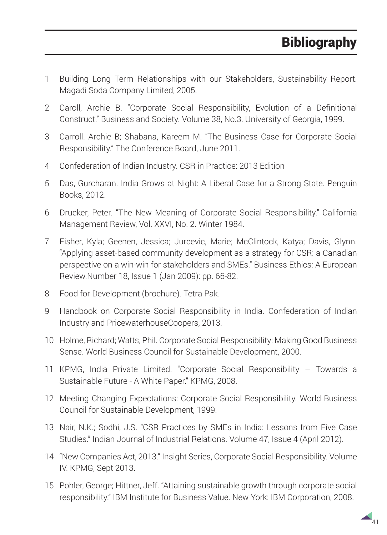- 1 Building Long Term Relationships with our Stakeholders, Sustainability Report. Magadi Soda Company Limited, 2005.
- 2 Caroll, Archie B. "Corporate Social Responsibility, Evolution of a Definitional Construct." Business and Society. Volume 38, No.3. University of Georgia, 1999.
- 3 Carroll. Archie B; Shabana, Kareem M. "The Business Case for Corporate Social Responsibility." The Conference Board, June 2011.
- 4 Confederation of Indian Industry. CSR in Practice: 2013 Edition
- 5 Das, Gurcharan. India Grows at Night: A Liberal Case for a Strong State. Penguin Books, 2012.
- 6 Drucker, Peter. "The New Meaning of Corporate Social Responsibility." California Management Review, Vol. XXVI, No. 2. Winter 1984.
- 7 Fisher, Kyla; Geenen, Jessica; Jurcevic, Marie; McClintock, Katya; Davis, Glynn. "Applying asset-based community development as a strategy for CSR: a Canadian perspective on a win-win for stakeholders and SMEs." Business Ethics: A European Review.Number 18, Issue 1 (Jan 2009): pp. 66-82.
- 8 Food for Development (brochure). Tetra Pak.
- 9 Handbook on Corporate Social Responsibility in India. Confederation of Indian Industry and PricewaterhouseCoopers, 2013.
- 10 Holme, Richard; Watts, Phil. Corporate Social Responsibility: Making Good Business Sense. World Business Council for Sustainable Development, 2000.
- 11 KPMG, India Private Limited. "Corporate Social Responsibility Towards a Sustainable Future - A White Paper." KPMG, 2008.
- 12 Meeting Changing Expectations: Corporate Social Responsibility. World Business Council for Sustainable Development, 1999.
- 13 Nair, N.K.; Sodhi, J.S. "CSR Practices by SMEs in India: Lessons from Five Case Studies." Indian Journal of Industrial Relations. Volume 47, Issue 4 (April 2012).
- 14 "New Companies Act, 2013." Insight Series, Corporate Social Responsibility. Volume IV. KPMG, Sept 2013.
- 15 Pohler, George; Hittner, Jeff. "Attaining sustainable growth through corporate social responsibility." IBM Institute for Business Value. New York: IBM Corporation, 2008.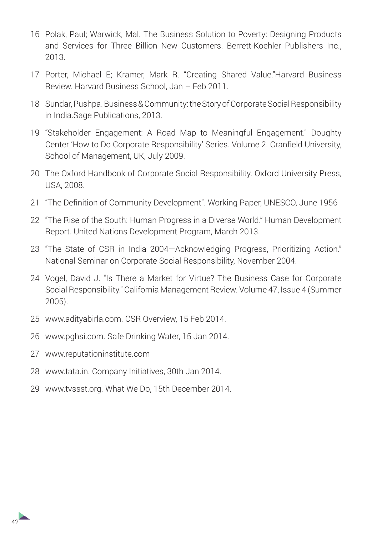- 16 Polak, Paul; Warwick, Mal. The Business Solution to Poverty: Designing Products and Services for Three Billion New Customers. Berrett-Koehler Publishers Inc., 2013.
- 17 Porter, Michael E; Kramer, Mark R. "Creating Shared Value."Harvard Business Review. Harvard Business School, Jan – Feb 2011.
- 18 Sundar, Pushpa. Business & Community: the Story of Corporate Social Responsibility in India.Sage Publications, 2013.
- 19 "Stakeholder Engagement: A Road Map to Meaningful Engagement." Doughty Center 'How to Do Corporate Responsibility' Series. Volume 2. Cranfield University, School of Management, UK, July 2009.
- 20 The Oxford Handbook of Corporate Social Responsibility. Oxford University Press, USA, 2008.
- 21 "The Definition of Community Development". Working Paper, UNESCO, June 1956
- 22 "The Rise of the South: Human Progress in a Diverse World." Human Development Report. United Nations Development Program, March 2013.
- 23 "The State of CSR in India 2004—Acknowledging Progress, Prioritizing Action." National Seminar on Corporate Social Responsibility, November 2004.
- 24 Vogel, David J. "Is There a Market for Virtue? The Business Case for Corporate Social Responsibility." California Management Review. Volume 47, Issue 4 (Summer 2005).
- 25 www.adityabirla.com. CSR Overview, 15 Feb 2014.
- 26 www.pghsi.com. Safe Drinking Water, 15 Jan 2014.
- 27 www.reputationinstitute.com

 $42<sup>°</sup>$ 

- 28 www.tata.in. Company Initiatives, 30th Jan 2014.
- 29 www.tvssst.org. What We Do, 15th December 2014.